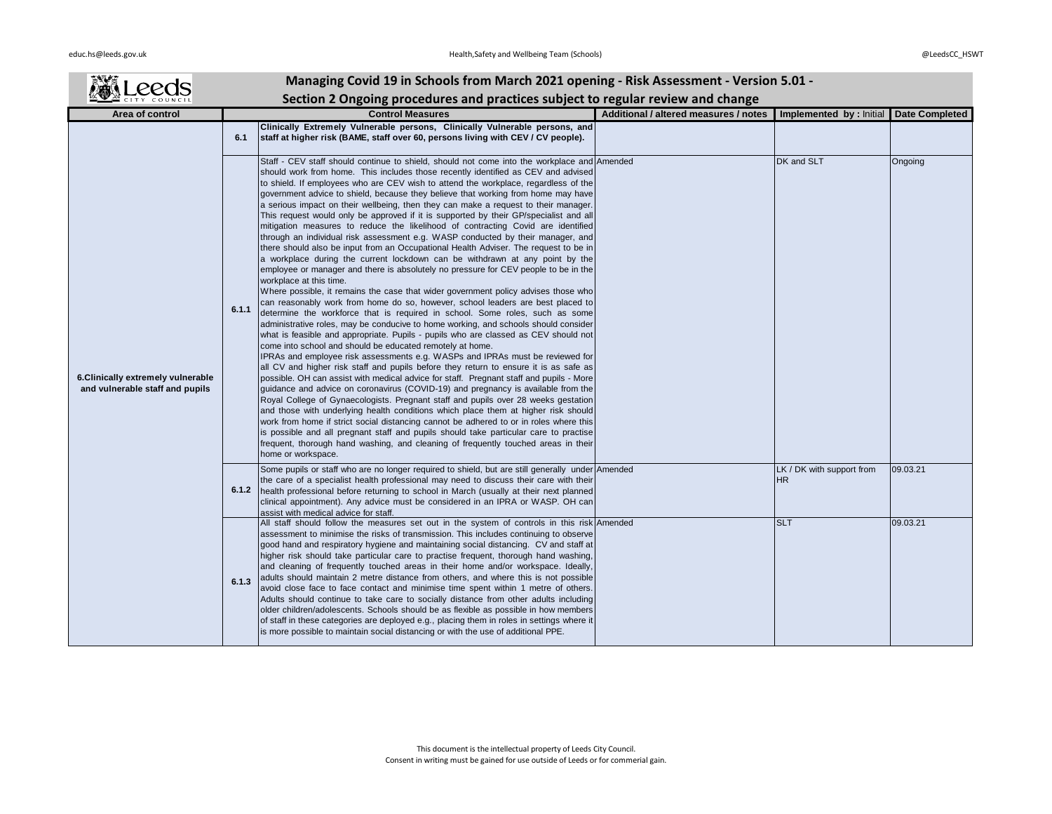| Managing Covid 19 in Schools from March 2021 opening - Risk Assessment - Version 5.01 - |       |                                                                                                                                                                                                                                                                                                                                                                                                                                                                                                                                                                                                                                                                                                                                                                                                                                                                                                                                                                                                                                                                                                                                                                                                                                                                                                                                                                                                                                                                                                                                                                                                                                                                                                                                                                                                                                                                                                                                                                                                                                                                                                                                                                                                                                                                                                                                                        |                                       |                                        |                       |
|-----------------------------------------------------------------------------------------|-------|--------------------------------------------------------------------------------------------------------------------------------------------------------------------------------------------------------------------------------------------------------------------------------------------------------------------------------------------------------------------------------------------------------------------------------------------------------------------------------------------------------------------------------------------------------------------------------------------------------------------------------------------------------------------------------------------------------------------------------------------------------------------------------------------------------------------------------------------------------------------------------------------------------------------------------------------------------------------------------------------------------------------------------------------------------------------------------------------------------------------------------------------------------------------------------------------------------------------------------------------------------------------------------------------------------------------------------------------------------------------------------------------------------------------------------------------------------------------------------------------------------------------------------------------------------------------------------------------------------------------------------------------------------------------------------------------------------------------------------------------------------------------------------------------------------------------------------------------------------------------------------------------------------------------------------------------------------------------------------------------------------------------------------------------------------------------------------------------------------------------------------------------------------------------------------------------------------------------------------------------------------------------------------------------------------------------------------------------------------|---------------------------------------|----------------------------------------|-----------------------|
|                                                                                         |       | Section 2 Ongoing procedures and practices subject to regular review and change                                                                                                                                                                                                                                                                                                                                                                                                                                                                                                                                                                                                                                                                                                                                                                                                                                                                                                                                                                                                                                                                                                                                                                                                                                                                                                                                                                                                                                                                                                                                                                                                                                                                                                                                                                                                                                                                                                                                                                                                                                                                                                                                                                                                                                                                        |                                       |                                        |                       |
| Area of control                                                                         |       | <b>Control Measures</b>                                                                                                                                                                                                                                                                                                                                                                                                                                                                                                                                                                                                                                                                                                                                                                                                                                                                                                                                                                                                                                                                                                                                                                                                                                                                                                                                                                                                                                                                                                                                                                                                                                                                                                                                                                                                                                                                                                                                                                                                                                                                                                                                                                                                                                                                                                                                | Additional / altered measures / notes | Implemented by : Initial               | <b>Date Completed</b> |
| 6. Clinically extremely vulnerable<br>and vulnerable staff and pupils                   | 6.1   | Clinically Extremely Vulnerable persons, Clinically Vulnerable persons, and<br>staff at higher risk (BAME, staff over 60, persons living with CEV / CV people).                                                                                                                                                                                                                                                                                                                                                                                                                                                                                                                                                                                                                                                                                                                                                                                                                                                                                                                                                                                                                                                                                                                                                                                                                                                                                                                                                                                                                                                                                                                                                                                                                                                                                                                                                                                                                                                                                                                                                                                                                                                                                                                                                                                        |                                       |                                        |                       |
|                                                                                         | 6.1.1 | Staff - CEV staff should continue to shield, should not come into the workplace and Amended<br>should work from home. This includes those recently identified as CEV and advised<br>to shield. If employees who are CEV wish to attend the workplace, regardless of the<br>government advice to shield, because they believe that working from home may have<br>a serious impact on their wellbeing, then they can make a request to their manager.<br>This request would only be approved if it is supported by their GP/specialist and all<br>mitigation measures to reduce the likelihood of contracting Covid are identified<br>through an individual risk assessment e.g. WASP conducted by their manager, and<br>there should also be input from an Occupational Health Adviser. The request to be in<br>a workplace during the current lockdown can be withdrawn at any point by the<br>employee or manager and there is absolutely no pressure for CEV people to be in the<br>workplace at this time.<br>Where possible, it remains the case that wider government policy advises those who<br>can reasonably work from home do so, however, school leaders are best placed to<br>determine the workforce that is required in school. Some roles, such as some<br>administrative roles, may be conducive to home working, and schools should consider<br>what is feasible and appropriate. Pupils - pupils who are classed as CEV should not<br>come into school and should be educated remotely at home.<br>IPRAs and employee risk assessments e.g. WASPs and IPRAs must be reviewed for<br>all CV and higher risk staff and pupils before they return to ensure it is as safe as<br>possible. OH can assist with medical advice for staff. Pregnant staff and pupils - More<br>guidance and advice on coronavirus (COVID-19) and pregnancy is available from the<br>Royal College of Gynaecologists. Pregnant staff and pupils over 28 weeks gestation<br>and those with underlying health conditions which place them at higher risk should<br>work from home if strict social distancing cannot be adhered to or in roles where this<br>is possible and all pregnant staff and pupils should take particular care to practise<br>frequent, thorough hand washing, and cleaning of frequently touched areas in their<br>home or workspace. |                                       | DK and SLT                             | Ongoing               |
|                                                                                         | 6.1.2 | Some pupils or staff who are no longer required to shield, but are still generally under Amended<br>the care of a specialist health professional may need to discuss their care with their<br>health professional before returning to school in March (usually at their next planned<br>clinical appointment). Any advice must be considered in an IPRA or WASP. OH can<br>assist with medical advice for staff.                                                                                                                                                                                                                                                                                                                                                                                                                                                                                                                                                                                                                                                                                                                                                                                                                                                                                                                                                                                                                                                                                                                                                                                                                                                                                                                                                                                                                                                                                                                                                                                                                                                                                                                                                                                                                                                                                                                                       |                                       | LK / DK with support from<br><b>HR</b> | 09.03.21              |
|                                                                                         | 6.1.3 | All staff should follow the measures set out in the system of controls in this risk Amended<br>assessment to minimise the risks of transmission. This includes continuing to observe<br>good hand and respiratory hygiene and maintaining social distancing. CV and staff at<br>higher risk should take particular care to practise frequent, thorough hand washing,<br>and cleaning of frequently touched areas in their home and/or workspace. Ideally,<br>adults should maintain 2 metre distance from others, and where this is not possible<br>avoid close face to face contact and minimise time spent within 1 metre of others.<br>Adults should continue to take care to socially distance from other adults including<br>older children/adolescents. Schools should be as flexible as possible in how members<br>of staff in these categories are deployed e.g., placing them in roles in settings where it<br>is more possible to maintain social distancing or with the use of additional PPE.                                                                                                                                                                                                                                                                                                                                                                                                                                                                                                                                                                                                                                                                                                                                                                                                                                                                                                                                                                                                                                                                                                                                                                                                                                                                                                                                              |                                       | <b>SLT</b>                             | 09.03.21              |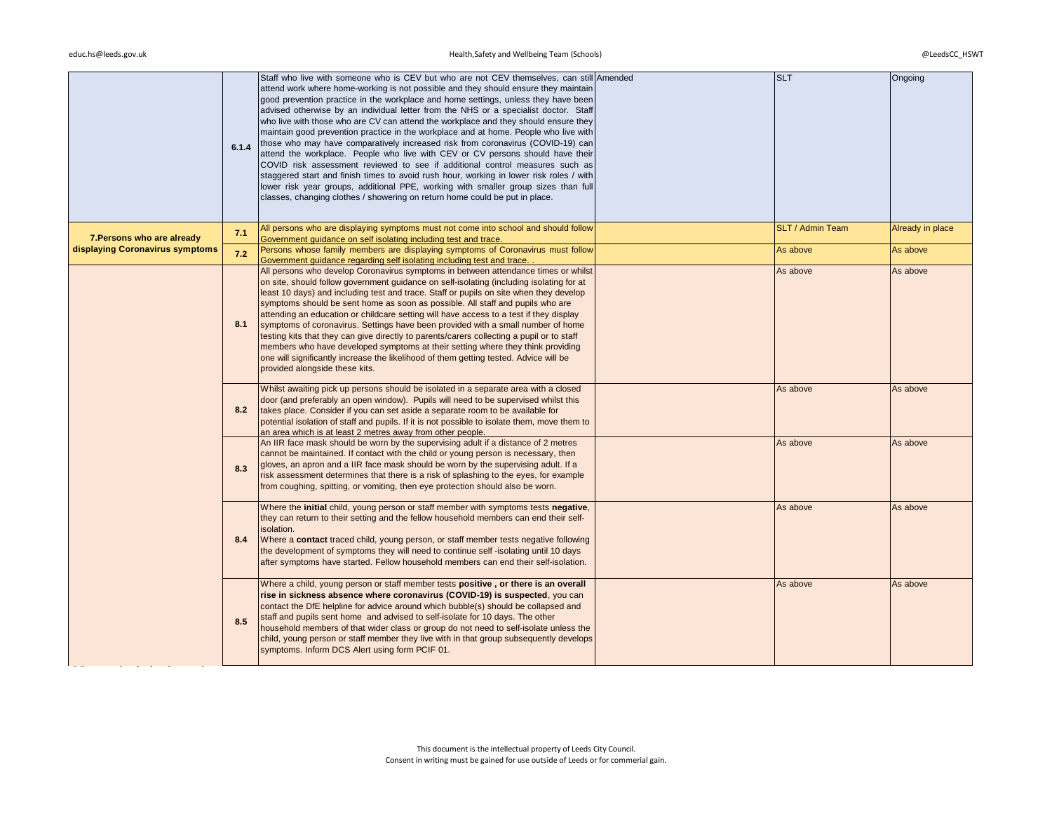|                                 | 6.1.4 | Staff who live with someone who is CEV but who are not CEV themselves, can still Amended<br>attend work where home-working is not possible and they should ensure they maintain<br>good prevention practice in the workplace and home settings, unless they have been<br>advised otherwise by an individual letter from the NHS or a specialist doctor. Staff<br>who live with those who are CV can attend the workplace and they should ensure they<br>maintain good prevention practice in the workplace and at home. People who live with<br>those who may have comparatively increased risk from coronavirus (COVID-19) can<br>attend the workplace. People who live with CEV or CV persons should have their<br>COVID risk assessment reviewed to see if additional control measures such as<br>staggered start and finish times to avoid rush hour, working in lower risk roles / with<br>lower risk year groups, additional PPE, working with smaller group sizes than full<br>classes, changing clothes / showering on return home could be put in place. | <b>SLT</b>       | Ongoing          |
|---------------------------------|-------|-------------------------------------------------------------------------------------------------------------------------------------------------------------------------------------------------------------------------------------------------------------------------------------------------------------------------------------------------------------------------------------------------------------------------------------------------------------------------------------------------------------------------------------------------------------------------------------------------------------------------------------------------------------------------------------------------------------------------------------------------------------------------------------------------------------------------------------------------------------------------------------------------------------------------------------------------------------------------------------------------------------------------------------------------------------------|------------------|------------------|
| 7. Persons who are already      | 7.1   | All persons who are displaying symptoms must not come into school and should follow<br>Government guidance on self isolating including test and trace.                                                                                                                                                                                                                                                                                                                                                                                                                                                                                                                                                                                                                                                                                                                                                                                                                                                                                                            | SLT / Admin Team | Already in place |
| displaying Coronavirus symptoms | 7.2   | Persons whose family members are displaying symptoms of Coronavirus must follow<br>Government guidance regarding self isolating including test and trace.                                                                                                                                                                                                                                                                                                                                                                                                                                                                                                                                                                                                                                                                                                                                                                                                                                                                                                         | As above         | As above         |
|                                 | 8.1   | All persons who develop Coronavirus symptoms in between attendance times or whilst<br>on site, should follow government guidance on self-isolating (including isolating for at<br>least 10 days) and including test and trace. Staff or pupils on site when they develop<br>symptoms should be sent home as soon as possible. All staff and pupils who are<br>attending an education or childcare setting will have access to a test if they display<br>symptoms of coronavirus. Settings have been provided with a small number of home<br>testing kits that they can give directly to parents/carers collecting a pupil or to staff<br>members who have developed symptoms at their setting where they think providing<br>one will significantly increase the likelihood of them getting tested. Advice will be<br>provided alongside these kits.                                                                                                                                                                                                               | As above         | As above         |
|                                 | 8.2   | Whilst awaiting pick up persons should be isolated in a separate area with a closed<br>door (and preferably an open window). Pupils will need to be supervised whilst this<br>takes place. Consider if you can set aside a separate room to be available for<br>potential isolation of staff and pupils. If it is not possible to isolate them, move them to<br>an area which is at least 2 metres away from other people.                                                                                                                                                                                                                                                                                                                                                                                                                                                                                                                                                                                                                                        | As above         | As above         |
|                                 | 8.3   | An IIR face mask should be worn by the supervising adult if a distance of 2 metres<br>cannot be maintained. If contact with the child or young person is necessary, then<br>gloves, an apron and a IIR face mask should be worn by the supervising adult. If a<br>risk assessment determines that there is a risk of splashing to the eyes, for example<br>from coughing, spitting, or vomiting, then eye protection should also be worn.                                                                                                                                                                                                                                                                                                                                                                                                                                                                                                                                                                                                                         | As above         | As above         |
|                                 | 8.4   | Where the initial child, young person or staff member with symptoms tests negative,<br>they can return to their setting and the fellow household members can end their self-<br>isolation.<br>Where a contact traced child, young person, or staff member tests negative following<br>the development of symptoms they will need to continue self-isolating until 10 days<br>after symptoms have started. Fellow household members can end their self-isolation.                                                                                                                                                                                                                                                                                                                                                                                                                                                                                                                                                                                                  | As above         | As above         |
|                                 | 8.5   | Where a child, young person or staff member tests positive, or there is an overall<br>rise in sickness absence where coronavirus (COVID-19) is suspected, you can<br>contact the DfE helpline for advice around which bubble(s) should be collapsed and<br>staff and pupils sent home and advised to self-isolate for 10 days. The other<br>household members of that wider class or group do not need to self-isolate unless the<br>child, young person or staff member they live with in that group subsequently develops<br>symptoms. Inform DCS Alert using form PCIF 01.                                                                                                                                                                                                                                                                                                                                                                                                                                                                                     | As above         | As above         |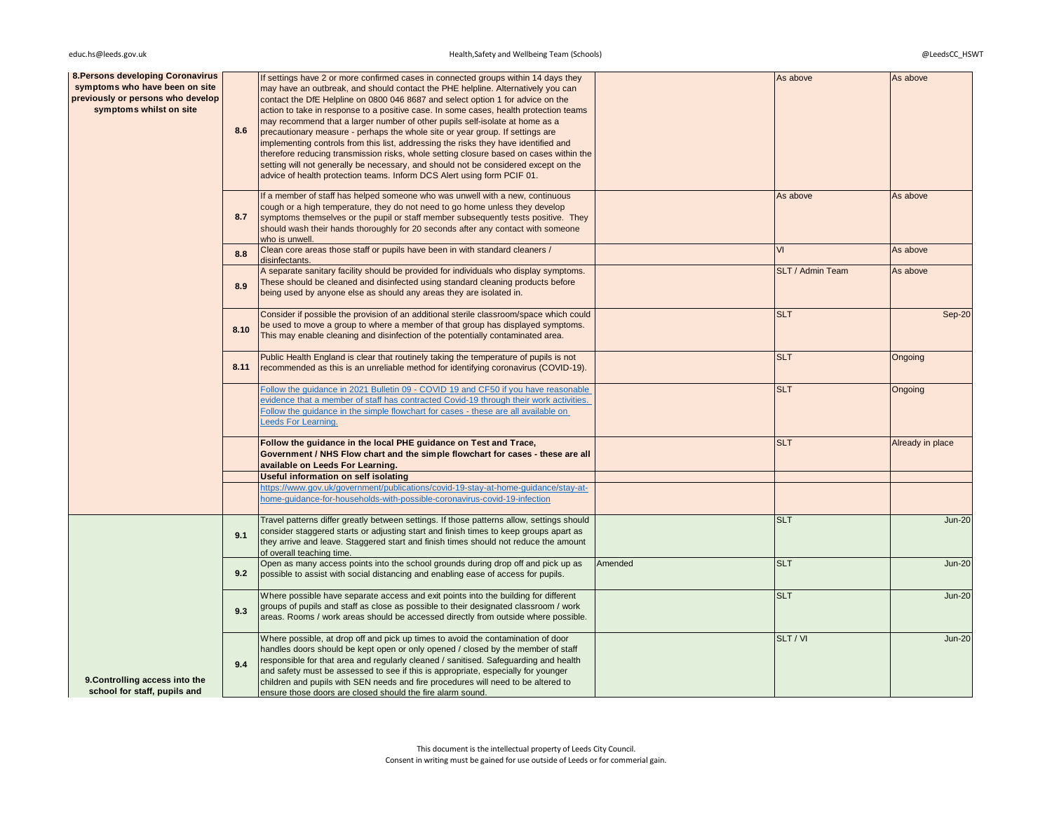# educ.hs@leeds.gov.uk @LeedsCC\_HSWT Health,Safety and Wellbeing Team (Schools) entitled and the state of the state of the state of the state of the state of the state of the state of the state of the state of the state of t

| <b>8. Persons developing Coronavirus</b><br>symptoms who have been on site<br>previously or persons who develop<br>symptoms whilst on site | 8.6  | If settings have 2 or more confirmed cases in connected groups within 14 days they<br>may have an outbreak, and should contact the PHE helpline. Alternatively you can<br>contact the DfE Helpline on 0800 046 8687 and select option 1 for advice on the<br>action to take in response to a positive case. In some cases, health protection teams<br>may recommend that a larger number of other pupils self-isolate at home as a<br>precautionary measure - perhaps the whole site or year group. If settings are<br>implementing controls from this list, addressing the risks they have identified and<br>therefore reducing transmission risks, whole setting closure based on cases within the<br>setting will not generally be necessary, and should not be considered except on the<br>advice of health protection teams. Inform DCS Alert using form PCIF 01. |         | As above         | As above         |
|--------------------------------------------------------------------------------------------------------------------------------------------|------|------------------------------------------------------------------------------------------------------------------------------------------------------------------------------------------------------------------------------------------------------------------------------------------------------------------------------------------------------------------------------------------------------------------------------------------------------------------------------------------------------------------------------------------------------------------------------------------------------------------------------------------------------------------------------------------------------------------------------------------------------------------------------------------------------------------------------------------------------------------------|---------|------------------|------------------|
|                                                                                                                                            | 8.7  | If a member of staff has helped someone who was unwell with a new, continuous<br>cough or a high temperature, they do not need to go home unless they develop<br>symptoms themselves or the pupil or staff member subsequently tests positive. They<br>should wash their hands thoroughly for 20 seconds after any contact with someone<br>who is unwell.                                                                                                                                                                                                                                                                                                                                                                                                                                                                                                              |         | As above         | As above         |
|                                                                                                                                            | 8.8  | Clean core areas those staff or pupils have been in with standard cleaners /<br>disinfectants.                                                                                                                                                                                                                                                                                                                                                                                                                                                                                                                                                                                                                                                                                                                                                                         |         | VI               | As above         |
|                                                                                                                                            | 8.9  | A separate sanitary facility should be provided for individuals who display symptoms.<br>These should be cleaned and disinfected using standard cleaning products before<br>being used by anyone else as should any areas they are isolated in.                                                                                                                                                                                                                                                                                                                                                                                                                                                                                                                                                                                                                        |         | SLT / Admin Team | As above         |
|                                                                                                                                            | 8.10 | Consider if possible the provision of an additional sterile classroom/space which could<br>be used to move a group to where a member of that group has displayed symptoms.<br>This may enable cleaning and disinfection of the potentially contaminated area.                                                                                                                                                                                                                                                                                                                                                                                                                                                                                                                                                                                                          |         | <b>SLT</b>       | <b>Sep-20</b>    |
|                                                                                                                                            | 8.11 | Public Health England is clear that routinely taking the temperature of pupils is not<br>recommended as this is an unreliable method for identifying coronavirus (COVID-19).                                                                                                                                                                                                                                                                                                                                                                                                                                                                                                                                                                                                                                                                                           |         | <b>SLT</b>       | Ongoing          |
|                                                                                                                                            |      | Follow the quidance in 2021 Bulletin 09 - COVID 19 and CF50 if you have reasonable<br>evidence that a member of staff has contracted Covid-19 through their work activities.<br>Follow the guidance in the simple flowchart for cases - these are all available on<br>Leeds For Learning.                                                                                                                                                                                                                                                                                                                                                                                                                                                                                                                                                                              |         | <b>SLT</b>       | Ongoing          |
|                                                                                                                                            |      | Follow the guidance in the local PHE guidance on Test and Trace,<br>Government / NHS Flow chart and the simple flowchart for cases - these are all<br>available on Leeds For Learning.                                                                                                                                                                                                                                                                                                                                                                                                                                                                                                                                                                                                                                                                                 |         | <b>SLT</b>       | Already in place |
|                                                                                                                                            |      | <b>Useful information on self isolating</b>                                                                                                                                                                                                                                                                                                                                                                                                                                                                                                                                                                                                                                                                                                                                                                                                                            |         |                  |                  |
|                                                                                                                                            |      | https://www.gov.uk/government/publications/covid-19-stay-at-home-guidance/stay-at-<br>home-guidance-for-households-with-possible-coronavirus-covid-19-infection                                                                                                                                                                                                                                                                                                                                                                                                                                                                                                                                                                                                                                                                                                        |         |                  |                  |
|                                                                                                                                            | 9.1  | Travel patterns differ greatly between settings. If those patterns allow, settings should<br>consider staggered starts or adjusting start and finish times to keep groups apart as<br>they arrive and leave. Staggered start and finish times should not reduce the amount<br>of overall teaching time.                                                                                                                                                                                                                                                                                                                                                                                                                                                                                                                                                                |         | <b>SLT</b>       | <b>Jun-20</b>    |
|                                                                                                                                            | 9.2  | Open as many access points into the school grounds during drop off and pick up as<br>possible to assist with social distancing and enabling ease of access for pupils.                                                                                                                                                                                                                                                                                                                                                                                                                                                                                                                                                                                                                                                                                                 | Amended | <b>SLT</b>       | <b>Jun-20</b>    |
|                                                                                                                                            | 9.3  | Where possible have separate access and exit points into the building for different<br>groups of pupils and staff as close as possible to their designated classroom / work<br>areas. Rooms / work areas should be accessed directly from outside where possible.                                                                                                                                                                                                                                                                                                                                                                                                                                                                                                                                                                                                      |         | <b>SLT</b>       | <b>Jun-20</b>    |
| 9. Controlling access into the<br>school for staff, pupils and                                                                             | 9.4  | Where possible, at drop off and pick up times to avoid the contamination of door<br>handles doors should be kept open or only opened / closed by the member of staff<br>responsible for that area and regularly cleaned / sanitised. Safeguarding and health<br>and safety must be assessed to see if this is appropriate, especially for younger<br>children and pupils with SEN needs and fire procedures will need to be altered to<br>ensure those doors are closed should the fire alarm sound.                                                                                                                                                                                                                                                                                                                                                                   |         | SLT / VI         | <b>Jun-20</b>    |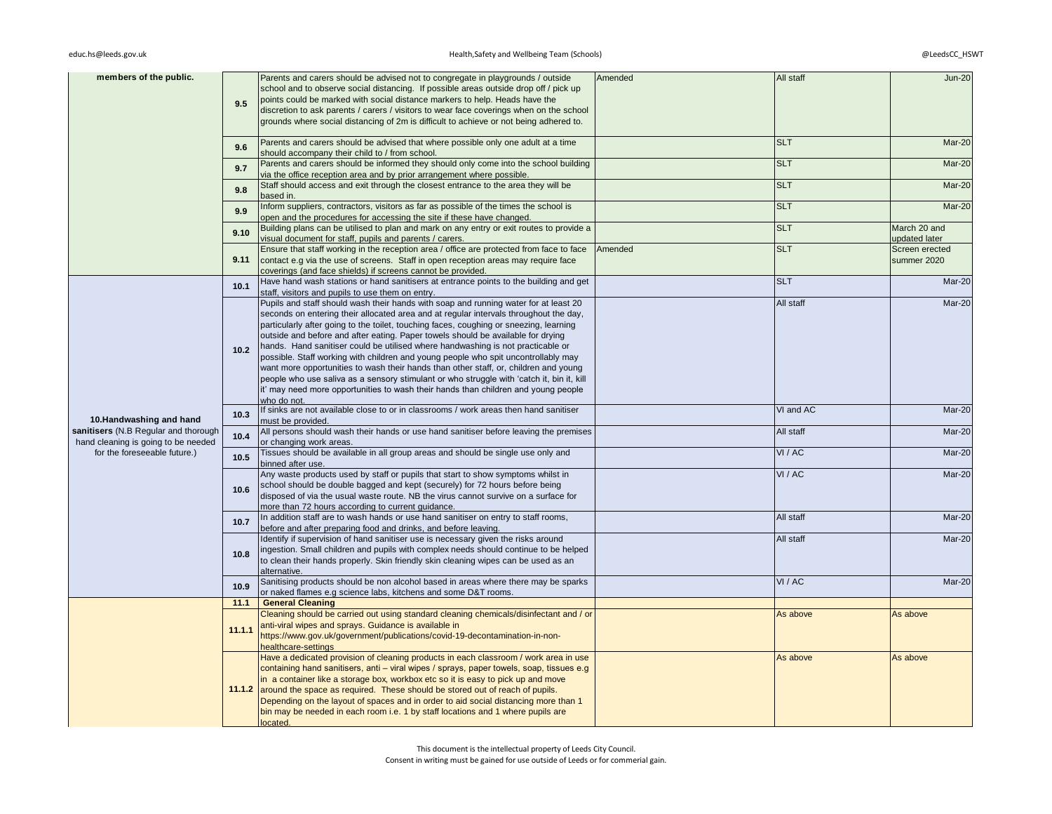## $educ.hs@leads.gov.uk$

# educ.hsafety and Wellbeing Team (Schools) @LeedsCC\_HSWT and Wellbeing Team (Schools) @LeedsCC\_HSWT

| members of the public.                                                      |        | Parents and carers should be advised not to congregate in playgrounds / outside<br>school and to observe social distancing. If possible areas outside drop off / pick up        | Amended | All staff  | <b>Jun-20</b>  |
|-----------------------------------------------------------------------------|--------|---------------------------------------------------------------------------------------------------------------------------------------------------------------------------------|---------|------------|----------------|
|                                                                             | 9.5    | points could be marked with social distance markers to help. Heads have the                                                                                                     |         |            |                |
|                                                                             |        | discretion to ask parents / carers / visitors to wear face coverings when on the school                                                                                         |         |            |                |
|                                                                             |        | grounds where social distancing of 2m is difficult to achieve or not being adhered to.                                                                                          |         |            |                |
|                                                                             | 9.6    | Parents and carers should be advised that where possible only one adult at a time                                                                                               |         | <b>SLT</b> | <b>Mar-20</b>  |
|                                                                             |        | should accompany their child to / from school.                                                                                                                                  |         |            |                |
|                                                                             | 9.7    | Parents and carers should be informed they should only come into the school building<br>via the office reception area and by prior arrangement where possible.                  |         | <b>SLT</b> | Mar-20         |
|                                                                             | 9.8    | Staff should access and exit through the closest entrance to the area they will be                                                                                              |         | <b>SLT</b> | Mar-20         |
|                                                                             |        | based in.                                                                                                                                                                       |         |            |                |
|                                                                             | 9.9    | Inform suppliers, contractors, visitors as far as possible of the times the school is<br>open and the procedures for accessing the site if these have changed.                  |         | <b>SLT</b> | Mar-20         |
|                                                                             |        | Building plans can be utilised to plan and mark on any entry or exit routes to provide a                                                                                        |         | <b>SLT</b> | March 20 and   |
|                                                                             | 9.10   | visual document for staff, pupils and parents / carers.                                                                                                                         |         |            | updated later  |
|                                                                             |        | Ensure that staff working in the reception area / office are protected from face to face                                                                                        | Amended | <b>SLT</b> | Screen erected |
|                                                                             | 9.11   | contact e.g via the use of screens. Staff in open reception areas may require face<br>coverings (and face shields) if screens cannot be provided.                               |         |            | summer 2020    |
|                                                                             |        | Have hand wash stations or hand sanitisers at entrance points to the building and get                                                                                           |         | <b>SLT</b> | Mar-20         |
|                                                                             | 10.1   | staff, visitors and pupils to use them on entry.                                                                                                                                |         |            |                |
|                                                                             |        | Pupils and staff should wash their hands with soap and running water for at least 20                                                                                            |         | All staff  | Mar-20         |
|                                                                             |        | seconds on entering their allocated area and at regular intervals throughout the day,                                                                                           |         |            |                |
|                                                                             |        | particularly after going to the toilet, touching faces, coughing or sneezing, learning<br>outside and before and after eating. Paper towels should be available for drying      |         |            |                |
|                                                                             | 10.2   | hands. Hand sanitiser could be utilised where handwashing is not practicable or                                                                                                 |         |            |                |
|                                                                             |        | possible. Staff working with children and young people who spit uncontrollably may                                                                                              |         |            |                |
|                                                                             |        | want more opportunities to wash their hands than other staff, or, children and young                                                                                            |         |            |                |
|                                                                             |        | people who use saliva as a sensory stimulant or who struggle with 'catch it, bin it, kill<br>it' may need more opportunities to wash their hands than children and young people |         |            |                |
|                                                                             |        | who do not.                                                                                                                                                                     |         |            |                |
| 10.Handwashing and hand                                                     | 10.3   | If sinks are not available close to or in classrooms / work areas then hand sanitiser<br>must be provided.                                                                      |         | VI and AC  | Mar-20         |
| sanitisers (N.B Regular and thorough<br>hand cleaning is going to be needed | 10.4   | All persons should wash their hands or use hand sanitiser before leaving the premises<br>or changing work areas.                                                                |         | All staff  | Mar-20         |
| for the foreseeable future.)                                                | 10.5   | Tissues should be available in all group areas and should be single use only and<br>binned after use.                                                                           |         | VI / AC    | Mar-20         |
|                                                                             |        | Any waste products used by staff or pupils that start to show symptoms whilst in                                                                                                |         | VI / AC    | Mar-20         |
|                                                                             | 10.6   | school should be double bagged and kept (securely) for 72 hours before being                                                                                                    |         |            |                |
|                                                                             |        | disposed of via the usual waste route. NB the virus cannot survive on a surface for<br>more than 72 hours according to current guidance.                                        |         |            |                |
|                                                                             |        | In addition staff are to wash hands or use hand sanitiser on entry to staff rooms,                                                                                              |         | All staff  | Mar-20         |
|                                                                             | 10.7   | before and after preparing food and drinks, and before leaving.                                                                                                                 |         |            |                |
|                                                                             |        | Identify if supervision of hand sanitiser use is necessary given the risks around                                                                                               |         | All staff  | Mar-20         |
|                                                                             | 10.8   | ingestion. Small children and pupils with complex needs should continue to be helped<br>to clean their hands properly. Skin friendly skin cleaning wipes can be used as an      |         |            |                |
|                                                                             |        | alternative.                                                                                                                                                                    |         |            |                |
|                                                                             | 10.9   | Sanitising products should be non alcohol based in areas where there may be sparks                                                                                              |         | VI / AC    | Mar-20         |
|                                                                             |        | or naked flames e.g science labs, kitchens and some D&T rooms.                                                                                                                  |         |            |                |
|                                                                             | 11.1   | <b>General Cleaning</b><br>Cleaning should be carried out using standard cleaning chemicals/disinfectant and / or                                                               |         | As above   | As above       |
|                                                                             |        | anti-viral wipes and sprays. Guidance is available in                                                                                                                           |         |            |                |
|                                                                             | 11.1.1 | https://www.gov.uk/government/publications/covid-19-decontamination-in-non-                                                                                                     |         |            |                |
|                                                                             |        | healthcare-settings                                                                                                                                                             |         |            |                |
|                                                                             |        | Have a dedicated provision of cleaning products in each classroom / work area in use                                                                                            |         | As above   | As above       |
|                                                                             |        | containing hand sanitisers, anti - viral wipes / sprays, paper towels, soap, tissues e.g<br>in a container like a storage box, workbox etc so it is easy to pick up and move    |         |            |                |
|                                                                             |        | 11.1.2 around the space as required. These should be stored out of reach of pupils.                                                                                             |         |            |                |
|                                                                             |        | Depending on the layout of spaces and in order to aid social distancing more than 1                                                                                             |         |            |                |
|                                                                             |        | bin may be needed in each room i.e. 1 by staff locations and 1 where pupils are                                                                                                 |         |            |                |
|                                                                             |        | located.                                                                                                                                                                        |         |            |                |

This document is the intellectual property of Leeds City Council.

Consent in writing must be gained for use outside of Leeds or for commerial gain.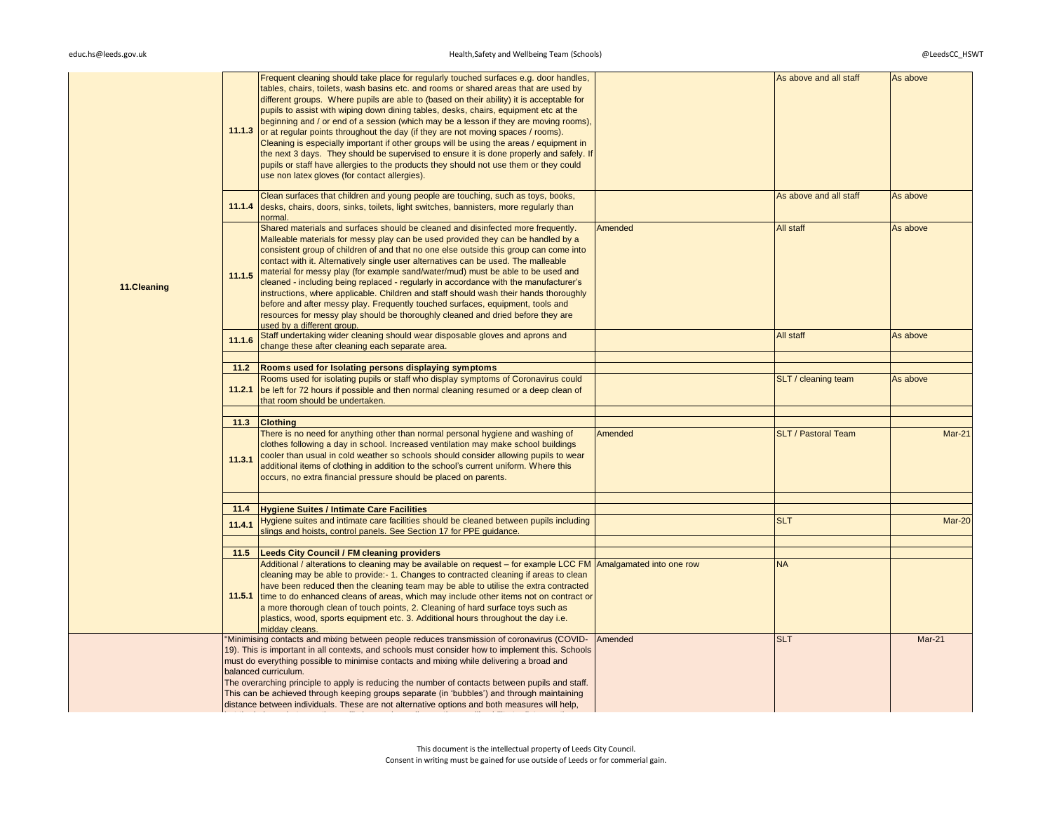|             |        | Frequent cleaning should take place for regularly touched surfaces e.g. door handles,<br>tables, chairs, toilets, wash basins etc. and rooms or shared areas that are used by<br>different groups. Where pupils are able to (based on their ability) it is acceptable for<br>pupils to assist with wiping down dining tables, desks, chairs, equipment etc at the<br>beginning and / or end of a session (which may be a lesson if they are moving rooms),<br>11.1.3 or at regular points throughout the day (if they are not moving spaces / rooms).<br>Cleaning is especially important if other groups will be using the areas / equipment in<br>the next 3 days. They should be supervised to ensure it is done properly and safely. If<br>pupils or staff have allergies to the products they should not use them or they could<br>use non latex gloves (for contact allergies). |                          | As above and all staff     | As above      |
|-------------|--------|---------------------------------------------------------------------------------------------------------------------------------------------------------------------------------------------------------------------------------------------------------------------------------------------------------------------------------------------------------------------------------------------------------------------------------------------------------------------------------------------------------------------------------------------------------------------------------------------------------------------------------------------------------------------------------------------------------------------------------------------------------------------------------------------------------------------------------------------------------------------------------------|--------------------------|----------------------------|---------------|
|             | 11.1.4 | Clean surfaces that children and young people are touching, such as toys, books,<br>desks, chairs, doors, sinks, toilets, light switches, bannisters, more regularly than<br>normal.                                                                                                                                                                                                                                                                                                                                                                                                                                                                                                                                                                                                                                                                                                  |                          | As above and all staff     | As above      |
| 11.Cleaning | 11.1.5 | Shared materials and surfaces should be cleaned and disinfected more frequently.<br>Malleable materials for messy play can be used provided they can be handled by a<br>consistent group of children of and that no one else outside this group can come into<br>contact with it. Alternatively single user alternatives can be used. The malleable<br>material for messy play (for example sand/water/mud) must be able to be used and<br>cleaned - including being replaced - regularly in accordance with the manufacturer's<br>instructions, where applicable. Children and staff should wash their hands thoroughly<br>before and after messy play. Frequently touched surfaces, equipment, tools and<br>resources for messy play should be thoroughly cleaned and dried before they are<br>used by a different group.                                                           | Amended                  | All staff                  | As above      |
|             | 11.1.6 | Staff undertaking wider cleaning should wear disposable gloves and aprons and                                                                                                                                                                                                                                                                                                                                                                                                                                                                                                                                                                                                                                                                                                                                                                                                         |                          | All staff                  | As above      |
|             |        | change these after cleaning each separate area.                                                                                                                                                                                                                                                                                                                                                                                                                                                                                                                                                                                                                                                                                                                                                                                                                                       |                          |                            |               |
|             |        |                                                                                                                                                                                                                                                                                                                                                                                                                                                                                                                                                                                                                                                                                                                                                                                                                                                                                       |                          |                            |               |
|             | 11.2   | Rooms used for Isolating persons displaying symptoms                                                                                                                                                                                                                                                                                                                                                                                                                                                                                                                                                                                                                                                                                                                                                                                                                                  |                          |                            |               |
|             | 11.2.1 | Rooms used for isolating pupils or staff who display symptoms of Coronavirus could<br>be left for 72 hours if possible and then normal cleaning resumed or a deep clean of<br>that room should be undertaken.                                                                                                                                                                                                                                                                                                                                                                                                                                                                                                                                                                                                                                                                         |                          | SLT / cleaning team        | As above      |
|             | 11.3   | <b>Clothing</b>                                                                                                                                                                                                                                                                                                                                                                                                                                                                                                                                                                                                                                                                                                                                                                                                                                                                       |                          |                            |               |
|             | 11.3.1 | There is no need for anything other than normal personal hygiene and washing of<br>clothes following a day in school. Increased ventilation may make school buildings<br>cooler than usual in cold weather so schools should consider allowing pupils to wear<br>additional items of clothing in addition to the school's current uniform. Where this<br>occurs, no extra financial pressure should be placed on parents.                                                                                                                                                                                                                                                                                                                                                                                                                                                             | Amended                  | <b>SLT / Pastoral Team</b> | <b>Mar-21</b> |
|             |        |                                                                                                                                                                                                                                                                                                                                                                                                                                                                                                                                                                                                                                                                                                                                                                                                                                                                                       |                          |                            |               |
|             | 11.4   | <b>Hygiene Suites / Intimate Care Facilities</b>                                                                                                                                                                                                                                                                                                                                                                                                                                                                                                                                                                                                                                                                                                                                                                                                                                      |                          |                            |               |
|             | 11.4.1 | Hygiene suites and intimate care facilities should be cleaned between pupils including<br>slings and hoists, control panels. See Section 17 for PPE guidance.                                                                                                                                                                                                                                                                                                                                                                                                                                                                                                                                                                                                                                                                                                                         |                          | <b>SLT</b>                 | Mar-20        |
|             |        |                                                                                                                                                                                                                                                                                                                                                                                                                                                                                                                                                                                                                                                                                                                                                                                                                                                                                       |                          |                            |               |
|             | 11.5   | <b>Leeds City Council / FM cleaning providers</b>                                                                                                                                                                                                                                                                                                                                                                                                                                                                                                                                                                                                                                                                                                                                                                                                                                     |                          |                            |               |
|             | 11.5.1 | Additional / alterations to cleaning may be available on request - for example LCC FM<br>cleaning may be able to provide:- 1. Changes to contracted cleaning if areas to clean<br>have been reduced then the cleaning team may be able to utilise the extra contracted<br>time to do enhanced cleans of areas, which may include other items not on contract or<br>a more thorough clean of touch points, 2. Cleaning of hard surface toys such as<br>plastics, wood, sports equipment etc. 3. Additional hours throughout the day i.e.<br>midday cleans.                                                                                                                                                                                                                                                                                                                             | Amalgamated into one row | <b>NA</b>                  |               |
|             |        | "Minimising contacts and mixing between people reduces transmission of coronavirus (COVID-<br>19). This is important in all contexts, and schools must consider how to implement this. Schools<br>must do everything possible to minimise contacts and mixing while delivering a broad and<br>balanced curriculum.<br>The overarching principle to apply is reducing the number of contacts between pupils and staff.<br>This can be achieved through keeping groups separate (in 'bubbles') and through maintaining<br>distance between individuals. These are not alternative options and both measures will help,                                                                                                                                                                                                                                                                  | Amended                  | <b>SLT</b>                 | Mar-21        |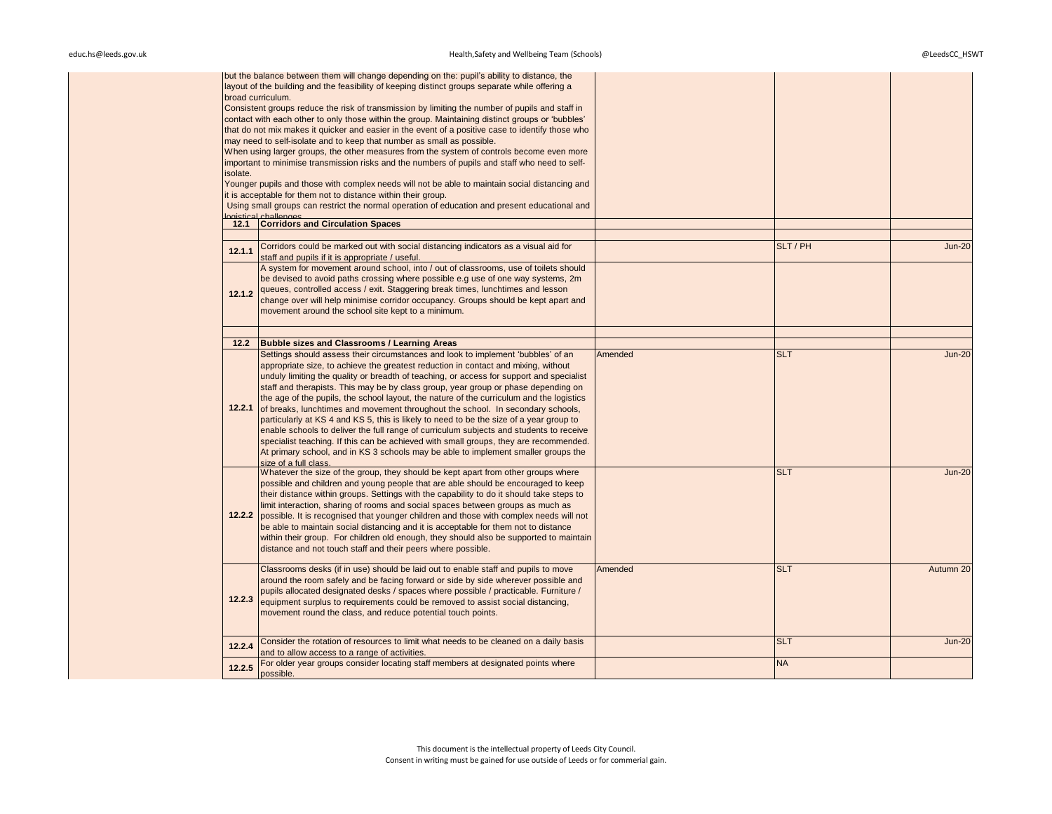| isolate. | but the balance between them will change depending on the: pupil's ability to distance, the<br>layout of the building and the feasibility of keeping distinct groups separate while offering a<br>broad curriculum.<br>Consistent groups reduce the risk of transmission by limiting the number of pupils and staff in<br>contact with each other to only those within the group. Maintaining distinct groups or 'bubbles'<br>that do not mix makes it quicker and easier in the event of a positive case to identify those who<br>may need to self-isolate and to keep that number as small as possible.<br>When using larger groups, the other measures from the system of controls become even more<br>important to minimise transmission risks and the numbers of pupils and staff who need to self-<br>Younger pupils and those with complex needs will not be able to maintain social distancing and<br>it is acceptable for them not to distance within their group.<br>Using small groups can restrict the normal operation of education and present educational and |         |            |               |
|----------|------------------------------------------------------------------------------------------------------------------------------------------------------------------------------------------------------------------------------------------------------------------------------------------------------------------------------------------------------------------------------------------------------------------------------------------------------------------------------------------------------------------------------------------------------------------------------------------------------------------------------------------------------------------------------------------------------------------------------------------------------------------------------------------------------------------------------------------------------------------------------------------------------------------------------------------------------------------------------------------------------------------------------------------------------------------------------|---------|------------|---------------|
|          | paistical challenges<br>12.1 Corridors and Circulation Spaces                                                                                                                                                                                                                                                                                                                                                                                                                                                                                                                                                                                                                                                                                                                                                                                                                                                                                                                                                                                                                |         |            |               |
|          |                                                                                                                                                                                                                                                                                                                                                                                                                                                                                                                                                                                                                                                                                                                                                                                                                                                                                                                                                                                                                                                                              |         |            |               |
| 12.1.1   | Corridors could be marked out with social distancing indicators as a visual aid for<br>staff and pupils if it is appropriate / useful.                                                                                                                                                                                                                                                                                                                                                                                                                                                                                                                                                                                                                                                                                                                                                                                                                                                                                                                                       |         | SLT / PH   | <b>Jun-20</b> |
| 12.1.2   | A system for movement around school, into / out of classrooms, use of toilets should<br>be devised to avoid paths crossing where possible e.g use of one way systems, 2m<br>queues, controlled access / exit. Staggering break times, lunchtimes and lesson<br>change over will help minimise corridor occupancy. Groups should be kept apart and<br>movement around the school site kept to a minimum.                                                                                                                                                                                                                                                                                                                                                                                                                                                                                                                                                                                                                                                                      |         |            |               |
| 12.2     | <b>Bubble sizes and Classrooms / Learning Areas</b>                                                                                                                                                                                                                                                                                                                                                                                                                                                                                                                                                                                                                                                                                                                                                                                                                                                                                                                                                                                                                          |         |            |               |
| 12.2.1   | Settings should assess their circumstances and look to implement 'bubbles' of an<br>appropriate size, to achieve the greatest reduction in contact and mixing, without<br>unduly limiting the quality or breadth of teaching, or access for support and specialist<br>staff and therapists. This may be by class group, year group or phase depending on<br>the age of the pupils, the school layout, the nature of the curriculum and the logistics<br>of breaks, lunchtimes and movement throughout the school. In secondary schools,<br>particularly at KS 4 and KS 5, this is likely to need to be the size of a year group to<br>enable schools to deliver the full range of curriculum subjects and students to receive<br>specialist teaching. If this can be achieved with small groups, they are recommended.<br>At primary school, and in KS 3 schools may be able to implement smaller groups the<br>size of a full class.                                                                                                                                        | Amended | <b>SLT</b> | <b>Jun-20</b> |
| 12.2.2   | Whatever the size of the group, they should be kept apart from other groups where<br>possible and children and young people that are able should be encouraged to keep<br>their distance within groups. Settings with the capability to do it should take steps to<br>limit interaction, sharing of rooms and social spaces between groups as much as<br>possible. It is recognised that younger children and those with complex needs will not<br>be able to maintain social distancing and it is acceptable for them not to distance<br>within their group. For children old enough, they should also be supported to maintain<br>distance and not touch staff and their peers where possible.                                                                                                                                                                                                                                                                                                                                                                             |         | <b>SLT</b> | <b>Jun-20</b> |
| 12.2.3   | Classrooms desks (if in use) should be laid out to enable staff and pupils to move<br>around the room safely and be facing forward or side by side wherever possible and<br>pupils allocated designated desks / spaces where possible / practicable. Furniture /<br>equipment surplus to requirements could be removed to assist social distancing,<br>movement round the class, and reduce potential touch points.                                                                                                                                                                                                                                                                                                                                                                                                                                                                                                                                                                                                                                                          | Amended | <b>SLT</b> | Autumn 20     |
| 12.2.4   | Consider the rotation of resources to limit what needs to be cleaned on a daily basis<br>and to allow access to a range of activities.                                                                                                                                                                                                                                                                                                                                                                                                                                                                                                                                                                                                                                                                                                                                                                                                                                                                                                                                       |         | <b>SLT</b> | <b>Jun-20</b> |
| 12.2.5   | For older year groups consider locating staff members at designated points where<br>possible.                                                                                                                                                                                                                                                                                                                                                                                                                                                                                                                                                                                                                                                                                                                                                                                                                                                                                                                                                                                |         | <b>NA</b>  |               |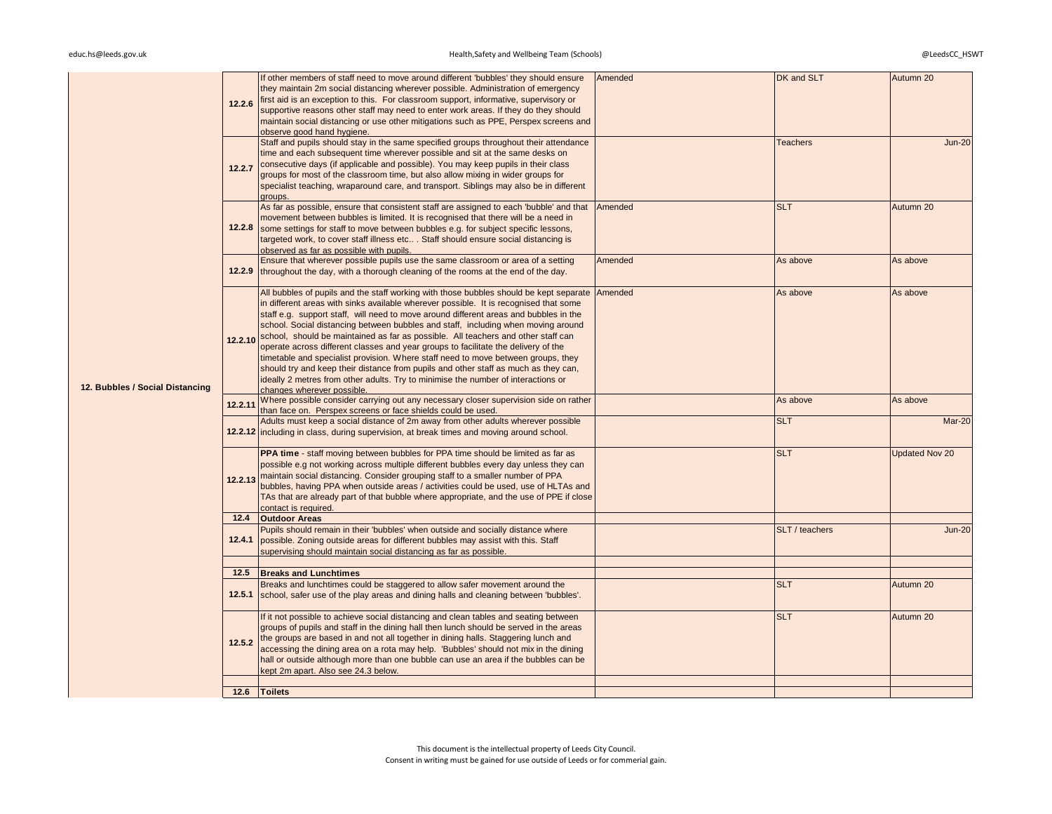|                                 | 12.2.6  | If other members of staff need to move around different 'bubbles' they should ensure<br>they maintain 2m social distancing wherever possible. Administration of emergency<br>first aid is an exception to this. For classroom support, informative, supervisory or<br>supportive reasons other staff may need to enter work areas. If they do they should<br>maintain social distancing or use other mitigations such as PPE, Perspex screens and<br>observe good hand hygiene.                                                                                                                                                                                                                                                                                                                                                                 | Amended | DK and SLT      | Autumn 20             |
|---------------------------------|---------|-------------------------------------------------------------------------------------------------------------------------------------------------------------------------------------------------------------------------------------------------------------------------------------------------------------------------------------------------------------------------------------------------------------------------------------------------------------------------------------------------------------------------------------------------------------------------------------------------------------------------------------------------------------------------------------------------------------------------------------------------------------------------------------------------------------------------------------------------|---------|-----------------|-----------------------|
|                                 | 12.2.7  | Staff and pupils should stay in the same specified groups throughout their attendance<br>time and each subsequent time wherever possible and sit at the same desks on<br>consecutive days (if applicable and possible). You may keep pupils in their class<br>groups for most of the classroom time, but also allow mixing in wider groups for<br>specialist teaching, wraparound care, and transport. Siblings may also be in different<br>groups.                                                                                                                                                                                                                                                                                                                                                                                             |         | <b>Teachers</b> | <b>Jun-20</b>         |
|                                 | 12.2.8  | As far as possible, ensure that consistent staff are assigned to each 'bubble' and that<br>movement between bubbles is limited. It is recognised that there will be a need in<br>some settings for staff to move between bubbles e.g. for subject specific lessons,<br>targeted work, to cover staff illness etc Staff should ensure social distancing is<br>observed as far as possible with pupils.                                                                                                                                                                                                                                                                                                                                                                                                                                           | Amended | <b>SLT</b>      | Autumn 20             |
|                                 |         | Ensure that wherever possible pupils use the same classroom or area of a setting<br>12.2.9 throughout the day, with a thorough cleaning of the rooms at the end of the day.                                                                                                                                                                                                                                                                                                                                                                                                                                                                                                                                                                                                                                                                     | Amended | As above        | As above              |
| 12. Bubbles / Social Distancing |         | All bubbles of pupils and the staff working with those bubbles should be kept separate<br>in different areas with sinks available wherever possible. It is recognised that some<br>staff e.g. support staff, will need to move around different areas and bubbles in the<br>school. Social distancing between bubbles and staff, including when moving around<br>12.2.10 school, should be maintained as far as possible. All teachers and other staff can<br>operate across different classes and year groups to facilitate the delivery of the<br>timetable and specialist provision. Where staff need to move between groups, they<br>should try and keep their distance from pupils and other staff as much as they can,<br>ideally 2 metres from other adults. Try to minimise the number of interactions or<br>changes wherever possible. | Amended | As above        | As above              |
|                                 | 12.2.11 | Where possible consider carrying out any necessary closer supervision side on rather<br>than face on. Perspex screens or face shields could be used.                                                                                                                                                                                                                                                                                                                                                                                                                                                                                                                                                                                                                                                                                            |         | As above        | As above              |
|                                 |         | Adults must keep a social distance of 2m away from other adults wherever possible<br>12.2.12 including in class, during supervision, at break times and moving around school.                                                                                                                                                                                                                                                                                                                                                                                                                                                                                                                                                                                                                                                                   |         | <b>SLT</b>      | Mar-20                |
|                                 | 12.2.13 | <b>PPA time - staff moving between bubbles for PPA time should be limited as far as</b><br>possible e.g not working across multiple different bubbles every day unless they can<br>maintain social distancing. Consider grouping staff to a smaller number of PPA<br>bubbles, having PPA when outside areas / activities could be used, use of HLTAs and<br>TAs that are already part of that bubble where appropriate, and the use of PPE if close<br>contact is required.                                                                                                                                                                                                                                                                                                                                                                     |         | <b>SLT</b>      | <b>Updated Nov 20</b> |
|                                 |         | 12.4 Outdoor Areas                                                                                                                                                                                                                                                                                                                                                                                                                                                                                                                                                                                                                                                                                                                                                                                                                              |         |                 |                       |
|                                 | 12.4.1  | Pupils should remain in their 'bubbles' when outside and socially distance where<br>possible. Zoning outside areas for different bubbles may assist with this. Staff<br>supervising should maintain social distancing as far as possible.                                                                                                                                                                                                                                                                                                                                                                                                                                                                                                                                                                                                       |         | SLT / teachers  | <b>Jun-20</b>         |
|                                 |         |                                                                                                                                                                                                                                                                                                                                                                                                                                                                                                                                                                                                                                                                                                                                                                                                                                                 |         |                 |                       |
|                                 | 12.5.1  | 12.5 Breaks and Lunchtimes<br>Breaks and lunchtimes could be staggered to allow safer movement around the<br>school, safer use of the play areas and dining halls and cleaning between 'bubbles'.                                                                                                                                                                                                                                                                                                                                                                                                                                                                                                                                                                                                                                               |         | <b>SLT</b>      | Autumn 20             |
|                                 | 12.5.2  | If it not possible to achieve social distancing and clean tables and seating between<br>groups of pupils and staff in the dining hall then lunch should be served in the areas<br>the groups are based in and not all together in dining halls. Staggering lunch and<br>accessing the dining area on a rota may help. 'Bubbles' should not mix in the dining<br>hall or outside although more than one bubble can use an area if the bubbles can be<br>kept 2m apart. Also see 24.3 below.                                                                                                                                                                                                                                                                                                                                                      |         | <b>SLT</b>      | Autumn 20             |
|                                 |         |                                                                                                                                                                                                                                                                                                                                                                                                                                                                                                                                                                                                                                                                                                                                                                                                                                                 |         |                 |                       |
|                                 |         | 12.6 Toilets                                                                                                                                                                                                                                                                                                                                                                                                                                                                                                                                                                                                                                                                                                                                                                                                                                    |         |                 |                       |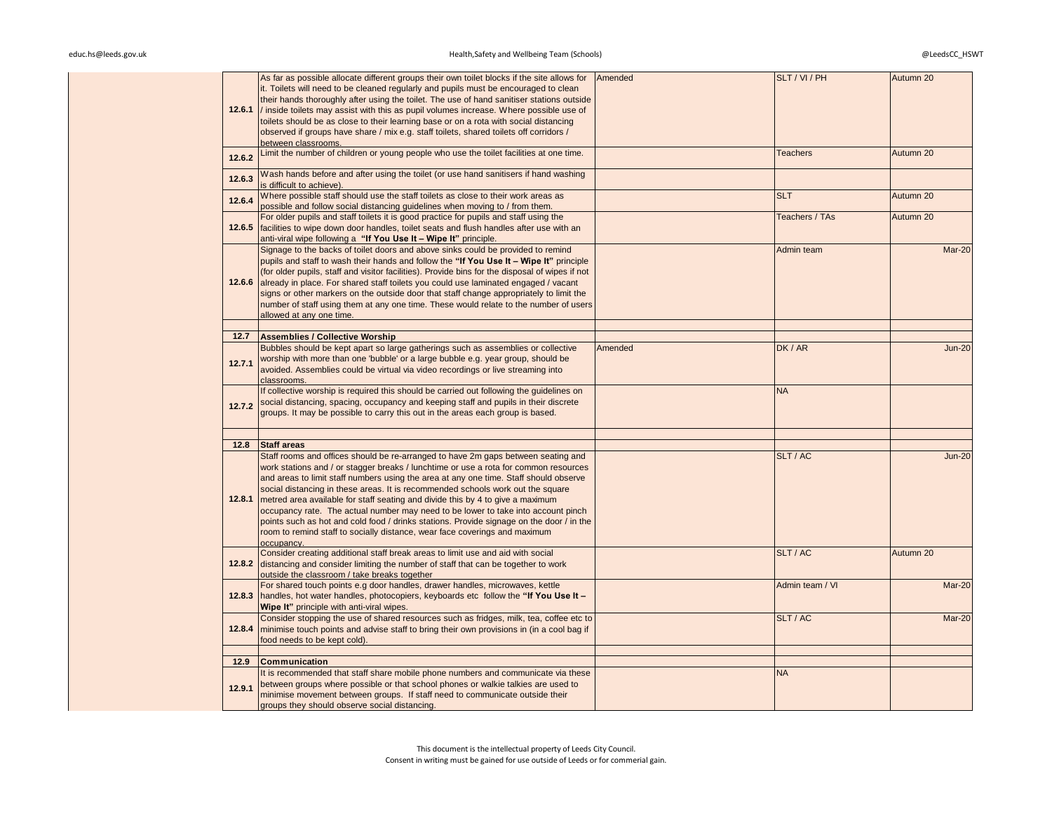| 12.6.1 | As far as possible allocate different groups their own toilet blocks if the site allows for<br>it. Toilets will need to be cleaned regularly and pupils must be encouraged to clean<br>their hands thoroughly after using the toilet. The use of hand sanitiser stations outside<br>/ inside toilets may assist with this as pupil volumes increase. Where possible use of<br>toilets should be as close to their learning base or on a rota with social distancing<br>observed if groups have share / mix e.g. staff toilets, shared toilets off corridors /<br>between classrooms.                                                                                                                                 | Amended | SLT / VI / PH   | Autumn 20     |
|--------|----------------------------------------------------------------------------------------------------------------------------------------------------------------------------------------------------------------------------------------------------------------------------------------------------------------------------------------------------------------------------------------------------------------------------------------------------------------------------------------------------------------------------------------------------------------------------------------------------------------------------------------------------------------------------------------------------------------------|---------|-----------------|---------------|
| 12.6.2 | Limit the number of children or young people who use the toilet facilities at one time.                                                                                                                                                                                                                                                                                                                                                                                                                                                                                                                                                                                                                              |         | <b>Teachers</b> | Autumn 20     |
| 12.6.3 | Wash hands before and after using the toilet (or use hand sanitisers if hand washing<br>is difficult to achieve).                                                                                                                                                                                                                                                                                                                                                                                                                                                                                                                                                                                                    |         |                 |               |
| 12.6.4 | Where possible staff should use the staff toilets as close to their work areas as<br>possible and follow social distancing quidelines when moving to / from them.                                                                                                                                                                                                                                                                                                                                                                                                                                                                                                                                                    |         | <b>SLT</b>      | Autumn 20     |
| 12.6.5 | For older pupils and staff toilets it is good practice for pupils and staff using the<br>facilities to wipe down door handles, toilet seats and flush handles after use with an<br>anti-viral wipe following a "If You Use It - Wipe It" principle.                                                                                                                                                                                                                                                                                                                                                                                                                                                                  |         | Teachers / TAs  | Autumn 20     |
| 12.6.6 | Signage to the backs of toilet doors and above sinks could be provided to remind<br>pupils and staff to wash their hands and follow the "If You Use It - Wipe It" principle<br>(for older pupils, staff and visitor facilities). Provide bins for the disposal of wipes if not<br>already in place. For shared staff toilets you could use laminated engaged / vacant<br>signs or other markers on the outside door that staff change appropriately to limit the<br>number of staff using them at any one time. These would relate to the number of users<br>allowed at any one time.                                                                                                                                |         | Admin team      | Mar-20        |
| 12.7   | <b>Assemblies / Collective Worship</b>                                                                                                                                                                                                                                                                                                                                                                                                                                                                                                                                                                                                                                                                               |         |                 |               |
| 12.7.1 | Bubbles should be kept apart so large gatherings such as assemblies or collective<br>worship with more than one 'bubble' or a large bubble e.g. year group, should be<br>avoided. Assemblies could be virtual via video recordings or live streaming into<br>classrooms.                                                                                                                                                                                                                                                                                                                                                                                                                                             | Amended | DK / AR         | <b>Jun-20</b> |
| 12.7.2 | If collective worship is required this should be carried out following the quidelines on<br>social distancing, spacing, occupancy and keeping staff and pupils in their discrete<br>groups. It may be possible to carry this out in the areas each group is based.                                                                                                                                                                                                                                                                                                                                                                                                                                                   |         | <b>NA</b>       |               |
| 12.8   | <b>Staff areas</b>                                                                                                                                                                                                                                                                                                                                                                                                                                                                                                                                                                                                                                                                                                   |         |                 |               |
| 12.8.1 | Staff rooms and offices should be re-arranged to have 2m gaps between seating and<br>work stations and / or stagger breaks / lunchtime or use a rota for common resources<br>and areas to limit staff numbers using the area at any one time. Staff should observe<br>social distancing in these areas. It is recommended schools work out the square<br>metred area available for staff seating and divide this by 4 to give a maximum<br>occupancy rate. The actual number may need to be lower to take into account pinch<br>points such as hot and cold food / drinks stations. Provide signage on the door / in the<br>room to remind staff to socially distance, wear face coverings and maximum<br>occupancy. |         | SLT / AC        | $Jun-20$      |
| 12.8.2 | Consider creating additional staff break areas to limit use and aid with social<br>distancing and consider limiting the number of staff that can be together to work<br>outside the classroom / take breaks together                                                                                                                                                                                                                                                                                                                                                                                                                                                                                                 |         | SLT / AC        | Autumn 20     |
| 12.8.3 | For shared touch points e.g door handles, drawer handles, microwaves, kettle<br>handles, hot water handles, photocopiers, keyboards etc follow the "If You Use It -<br>Wipe It" principle with anti-viral wipes.                                                                                                                                                                                                                                                                                                                                                                                                                                                                                                     |         | Admin team / VI | Mar-20        |
| 12.8.4 | Consider stopping the use of shared resources such as fridges, milk, tea, coffee etc to<br>minimise touch points and advise staff to bring their own provisions in (in a cool bag if<br>food needs to be kept cold).                                                                                                                                                                                                                                                                                                                                                                                                                                                                                                 |         | SLT / AC        | Mar-20        |
| 12.9   | <b>Communication</b>                                                                                                                                                                                                                                                                                                                                                                                                                                                                                                                                                                                                                                                                                                 |         |                 |               |
| 12.9.1 | It is recommended that staff share mobile phone numbers and communicate via these<br>between groups where possible or that school phones or walkie talkies are used to<br>minimise movement between groups. If staff need to communicate outside their<br>groups they should observe social distancing.                                                                                                                                                                                                                                                                                                                                                                                                              |         | <b>NA</b>       |               |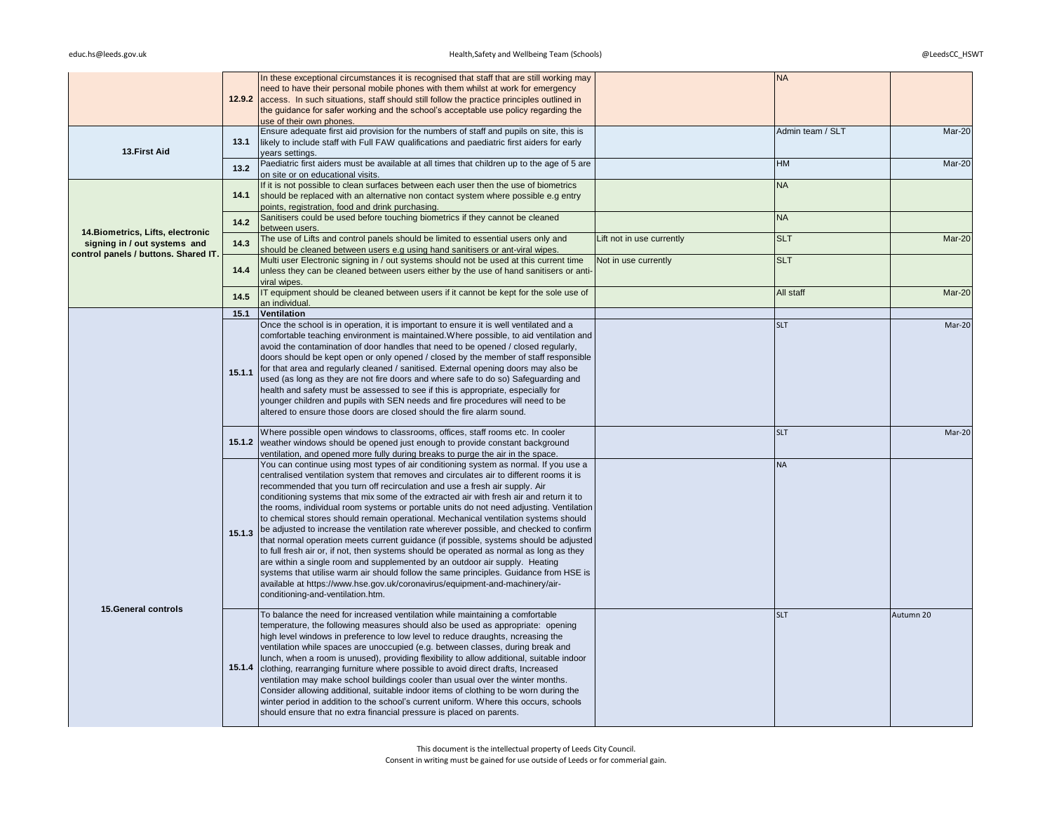|                                                                   |        | In these exceptional circumstances it is recognised that staff that are still working may<br>need to have their personal mobile phones with them whilst at work for emergency<br>12.9.2 access. In such situations, staff should still follow the practice principles outlined in<br>the guidance for safer working and the school's acceptable use policy regarding the<br>use of their own phones.                                                                                                                                                                                                                                                                                                                                                                                                                                                                                                                                                                                                                                                                                                                   |                           | <b>NA</b>        |           |
|-------------------------------------------------------------------|--------|------------------------------------------------------------------------------------------------------------------------------------------------------------------------------------------------------------------------------------------------------------------------------------------------------------------------------------------------------------------------------------------------------------------------------------------------------------------------------------------------------------------------------------------------------------------------------------------------------------------------------------------------------------------------------------------------------------------------------------------------------------------------------------------------------------------------------------------------------------------------------------------------------------------------------------------------------------------------------------------------------------------------------------------------------------------------------------------------------------------------|---------------------------|------------------|-----------|
| 13. First Aid                                                     | 13.1   | Ensure adequate first aid provision for the numbers of staff and pupils on site, this is<br>likely to include staff with Full FAW qualifications and paediatric first aiders for early<br>vears settings.                                                                                                                                                                                                                                                                                                                                                                                                                                                                                                                                                                                                                                                                                                                                                                                                                                                                                                              |                           | Admin team / SLT | Mar-20    |
|                                                                   | 13.2   | Paediatric first aiders must be available at all times that children up to the age of 5 are<br>on site or on educational visits.                                                                                                                                                                                                                                                                                                                                                                                                                                                                                                                                                                                                                                                                                                                                                                                                                                                                                                                                                                                       |                           | <b>HM</b>        | Mar-20    |
|                                                                   | 14.1   | If it is not possible to clean surfaces between each user then the use of biometrics<br>should be replaced with an alternative non contact system where possible e.g entry<br>points, registration, food and drink purchasing.                                                                                                                                                                                                                                                                                                                                                                                                                                                                                                                                                                                                                                                                                                                                                                                                                                                                                         |                           | <b>NA</b>        |           |
|                                                                   | 14.2   | Sanitisers could be used before touching biometrics if they cannot be cleaned<br>between users.                                                                                                                                                                                                                                                                                                                                                                                                                                                                                                                                                                                                                                                                                                                                                                                                                                                                                                                                                                                                                        |                           | <b>NA</b>        |           |
| 14. Biometrics, Lifts, electronic<br>signing in / out systems and | 14.3   | The use of Lifts and control panels should be limited to essential users only and<br>should be cleaned between users e.g using hand sanitisers or ant-viral wipes.                                                                                                                                                                                                                                                                                                                                                                                                                                                                                                                                                                                                                                                                                                                                                                                                                                                                                                                                                     | Lift not in use currently | <b>SLT</b>       | Mar-20    |
| control panels / buttons. Shared IT.                              | 14.4   | Multi user Electronic signing in / out systems should not be used at this current time<br>unless they can be cleaned between users either by the use of hand sanitisers or anti-<br>viral wipes.                                                                                                                                                                                                                                                                                                                                                                                                                                                                                                                                                                                                                                                                                                                                                                                                                                                                                                                       | Not in use currently      | <b>SLT</b>       |           |
|                                                                   | 14.5   | IT equipment should be cleaned between users if it cannot be kept for the sole use of<br>an individual                                                                                                                                                                                                                                                                                                                                                                                                                                                                                                                                                                                                                                                                                                                                                                                                                                                                                                                                                                                                                 |                           | All staff        | Mar-20    |
|                                                                   | 15.1   | Ventilation                                                                                                                                                                                                                                                                                                                                                                                                                                                                                                                                                                                                                                                                                                                                                                                                                                                                                                                                                                                                                                                                                                            |                           |                  |           |
|                                                                   | 15.1.1 | Once the school is in operation, it is important to ensure it is well ventilated and a<br>comfortable teaching environment is maintained. Where possible, to aid ventilation and<br>avoid the contamination of door handles that need to be opened / closed regularly,<br>doors should be kept open or only opened / closed by the member of staff responsible<br>for that area and regularly cleaned / sanitised. External opening doors may also be<br>used (as long as they are not fire doors and where safe to do so) Safeguarding and<br>health and safety must be assessed to see if this is appropriate, especially for<br>younger children and pupils with SEN needs and fire procedures will need to be<br>altered to ensure those doors are closed should the fire alarm sound.                                                                                                                                                                                                                                                                                                                             |                           | <b>SLT</b>       | Mar-20    |
|                                                                   |        | Where possible open windows to classrooms, offices, staff rooms etc. In cooler<br><b>15.1.2</b> weather windows should be opened just enough to provide constant background<br>ventilation, and opened more fully during breaks to purge the air in the space.                                                                                                                                                                                                                                                                                                                                                                                                                                                                                                                                                                                                                                                                                                                                                                                                                                                         |                           | <b>SLT</b>       | Mar-20    |
|                                                                   | 15.1.3 | You can continue using most types of air conditioning system as normal. If you use a<br>centralised ventilation system that removes and circulates air to different rooms it is<br>recommended that you turn off recirculation and use a fresh air supply. Air<br>conditioning systems that mix some of the extracted air with fresh air and return it to<br>the rooms, individual room systems or portable units do not need adjusting. Ventilation<br>to chemical stores should remain operational. Mechanical ventilation systems should<br>be adjusted to increase the ventilation rate wherever possible, and checked to confirm<br>that normal operation meets current guidance (if possible, systems should be adjusted<br>to full fresh air or, if not, then systems should be operated as normal as long as they<br>are within a single room and supplemented by an outdoor air supply. Heating<br>systems that utilise warm air should follow the same principles. Guidance from HSE is<br>available at https://www.hse.gov.uk/coronavirus/equipment-and-machinery/air-<br>conditioning-and-ventilation.htm. |                           | <b>NA</b>        |           |
| 15. General controls                                              |        | To balance the need for increased ventilation while maintaining a comfortable<br>temperature, the following measures should also be used as appropriate: opening<br>high level windows in preference to low level to reduce draughts, ncreasing the<br>ventilation while spaces are unoccupied (e.g. between classes, during break and<br>lunch, when a room is unused), providing flexibility to allow additional, suitable indoor<br>15.1.4 clothing, rearranging furniture where possible to avoid direct drafts, Increased<br>ventilation may make school buildings cooler than usual over the winter months.<br>Consider allowing additional, suitable indoor items of clothing to be worn during the<br>winter period in addition to the school's current uniform. Where this occurs, schools<br>should ensure that no extra financial pressure is placed on parents.                                                                                                                                                                                                                                            |                           | <b>SLT</b>       | Autumn 20 |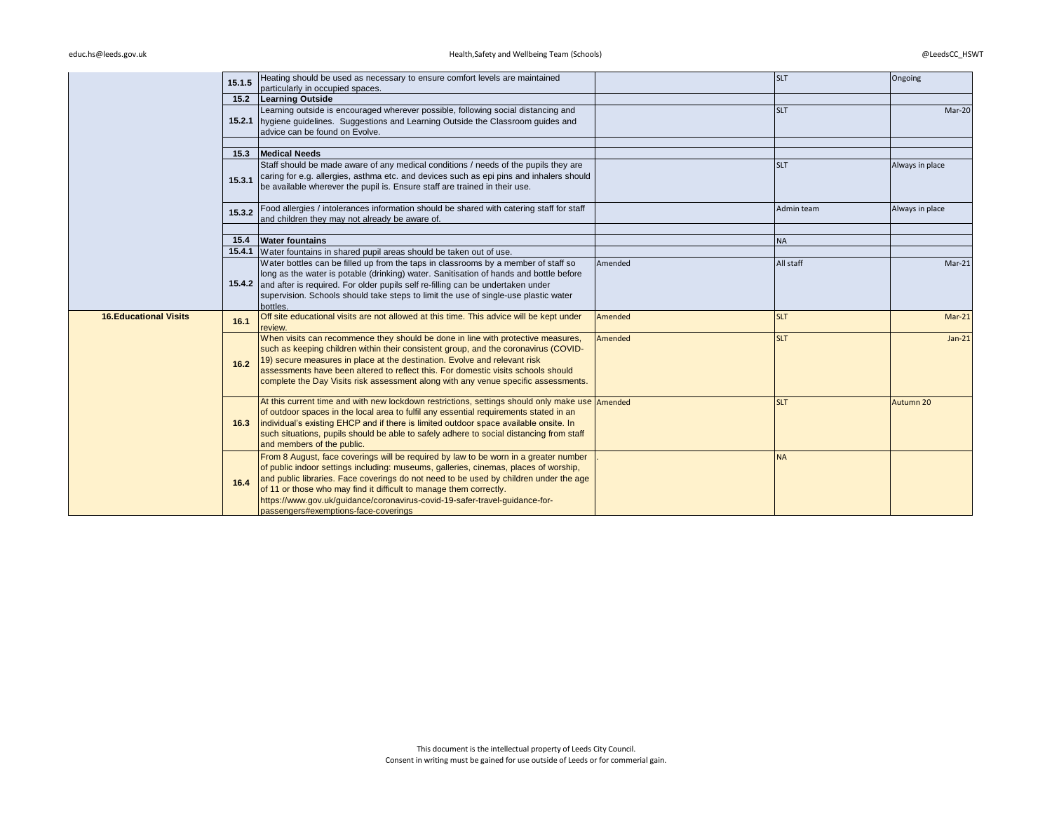# educ.hs@leeds.gov.uk @LeedsCC\_HSWT Health,Safety and Wellbeing Team (Schools) entitled and the state of the state of the state of the state of the state of the state of the state of the state of the state of the state of t

|                               | 15.1.5 | Heating should be used as necessary to ensure comfort levels are maintained<br>particularly in occupied spaces.                                                                                                                                                                                                                                                                                                                                                    |         | <b>SLT</b> | Ongoing         |
|-------------------------------|--------|--------------------------------------------------------------------------------------------------------------------------------------------------------------------------------------------------------------------------------------------------------------------------------------------------------------------------------------------------------------------------------------------------------------------------------------------------------------------|---------|------------|-----------------|
|                               |        | 15.2 Learning Outside                                                                                                                                                                                                                                                                                                                                                                                                                                              |         |            |                 |
|                               |        | Learning outside is encouraged wherever possible, following social distancing and<br>15.2.1 hygiene guidelines. Suggestions and Learning Outside the Classroom guides and<br>advice can be found on Evolve.                                                                                                                                                                                                                                                        |         | <b>SLT</b> | Mar-20          |
|                               |        |                                                                                                                                                                                                                                                                                                                                                                                                                                                                    |         |            |                 |
|                               |        | 15.3 Medical Needs                                                                                                                                                                                                                                                                                                                                                                                                                                                 |         |            |                 |
|                               | 15.3.1 | Staff should be made aware of any medical conditions / needs of the pupils they are<br>caring for e.g. allergies, asthma etc. and devices such as epi pins and inhalers should<br>be available wherever the pupil is. Ensure staff are trained in their use.                                                                                                                                                                                                       |         | <b>SLT</b> | Always in place |
|                               | 15.3.2 | Food allergies / intolerances information should be shared with catering staff for staff<br>and children they may not already be aware of.                                                                                                                                                                                                                                                                                                                         |         | Admin team | Always in place |
|                               |        |                                                                                                                                                                                                                                                                                                                                                                                                                                                                    |         |            |                 |
|                               |        | 15.4 Water fountains                                                                                                                                                                                                                                                                                                                                                                                                                                               |         | <b>NA</b>  |                 |
|                               |        | 15.4.1 Water fountains in shared pupil areas should be taken out of use.                                                                                                                                                                                                                                                                                                                                                                                           |         |            |                 |
|                               |        | Water bottles can be filled up from the taps in classrooms by a member of staff so<br>long as the water is potable (drinking) water. Sanitisation of hands and bottle before<br>15.4.2 and after is required. For older pupils self re-filling can be undertaken under<br>supervision. Schools should take steps to limit the use of single-use plastic water<br>bottles.                                                                                          | Amended | All staff  | $Mar-21$        |
| <b>16. Educational Visits</b> | 16.1   | Off site educational visits are not allowed at this time. This advice will be kept under<br>review.                                                                                                                                                                                                                                                                                                                                                                | Amended | <b>SLT</b> | $Mar-21$        |
|                               | $16.2$ | When visits can recommence they should be done in line with protective measures,<br>such as keeping children within their consistent group, and the coronavirus (COVID-<br>19) secure measures in place at the destination. Evolve and relevant risk<br>assessments have been altered to reflect this. For domestic visits schools should<br>complete the Day Visits risk assessment along with any venue specific assessments.                                    | Amended | <b>SLT</b> | $Jan-21$        |
|                               | 16.3   | At this current time and with new lockdown restrictions, settings should only make use Amended<br>of outdoor spaces in the local area to fulfil any essential requirements stated in an<br>individual's existing EHCP and if there is limited outdoor space available onsite. In<br>such situations, pupils should be able to safely adhere to social distancing from staff<br>and members of the public.                                                          |         | <b>SLT</b> | Autumn 20       |
|                               | 16.4   | From 8 August, face coverings will be required by law to be worn in a greater number<br>of public indoor settings including: museums, galleries, cinemas, places of worship,<br>and public libraries. Face coverings do not need to be used by children under the age<br>of 11 or those who may find it difficult to manage them correctly.<br>https://www.gov.uk/guidance/coronavirus-covid-19-safer-travel-guidance-for-<br>passengers#exemptions-face-coverings |         | <b>NA</b>  |                 |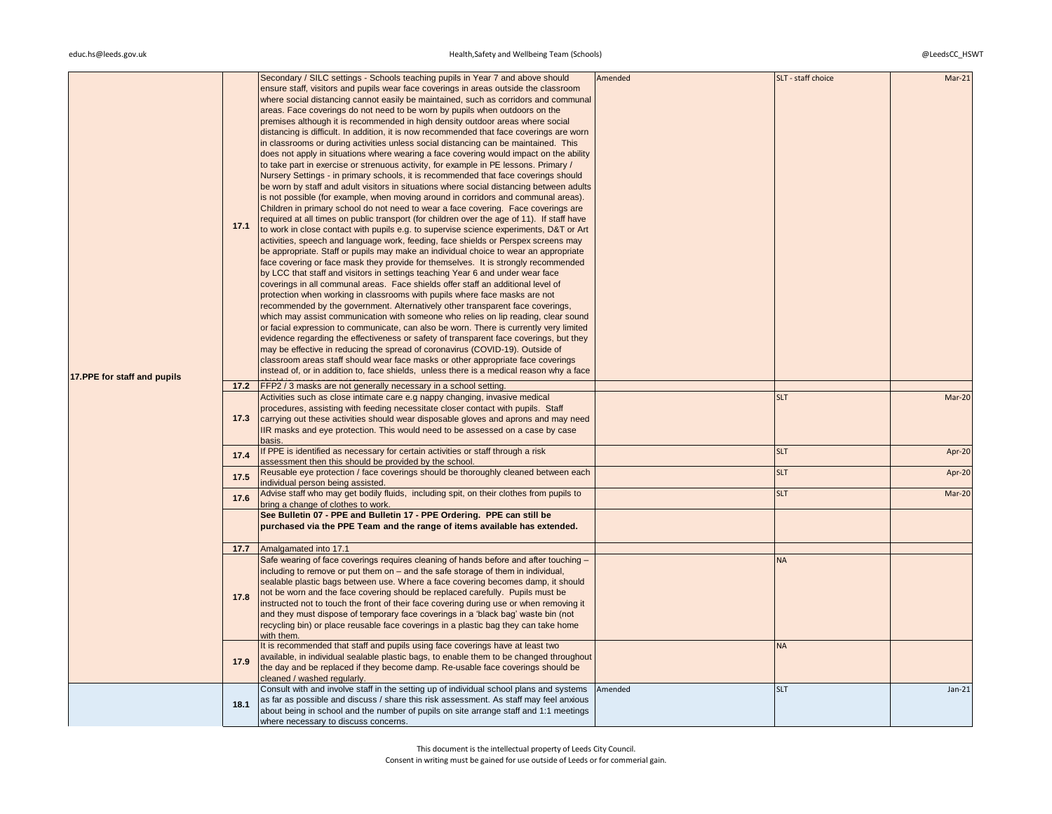| 17.PPE for staff and pupils | 17.1 | Secondary / SILC settings - Schools teaching pupils in Year 7 and above should<br>ensure staff, visitors and pupils wear face coverings in areas outside the classroom<br>where social distancing cannot easily be maintained, such as corridors and communal<br>areas. Face coverings do not need to be worn by pupils when outdoors on the<br>premises although it is recommended in high density outdoor areas where social<br>distancing is difficult. In addition, it is now recommended that face coverings are worn<br>in classrooms or during activities unless social distancing can be maintained. This<br>does not apply in situations where wearing a face covering would impact on the ability<br>to take part in exercise or strenuous activity, for example in PE lessons. Primary /<br>Nursery Settings - in primary schools, it is recommended that face coverings should<br>be worn by staff and adult visitors in situations where social distancing between adults<br>is not possible (for example, when moving around in corridors and communal areas).<br>Children in primary school do not need to wear a face covering. Face coverings are<br>required at all times on public transport (for children over the age of 11). If staff have<br>to work in close contact with pupils e.g. to supervise science experiments, D&T or Art<br>activities, speech and language work, feeding, face shields or Perspex screens may<br>be appropriate. Staff or pupils may make an individual choice to wear an appropriate<br>face covering or face mask they provide for themselves. It is strongly recommended<br>by LCC that staff and visitors in settings teaching Year 6 and under wear face<br>coverings in all communal areas. Face shields offer staff an additional level of<br>protection when working in classrooms with pupils where face masks are not<br>recommended by the government. Alternatively other transparent face coverings,<br>which may assist communication with someone who relies on lip reading, clear sound<br>or facial expression to communicate, can also be worn. There is currently very limited<br>evidence regarding the effectiveness or safety of transparent face coverings, but they<br>may be effective in reducing the spread of coronavirus (COVID-19). Outside of<br>classroom areas staff should wear face masks or other appropriate face coverings<br>instead of, or in addition to, face shields, unless there is a medical reason why a face | Amended | SLT - staff choice | $Mar-21$ |
|-----------------------------|------|-----------------------------------------------------------------------------------------------------------------------------------------------------------------------------------------------------------------------------------------------------------------------------------------------------------------------------------------------------------------------------------------------------------------------------------------------------------------------------------------------------------------------------------------------------------------------------------------------------------------------------------------------------------------------------------------------------------------------------------------------------------------------------------------------------------------------------------------------------------------------------------------------------------------------------------------------------------------------------------------------------------------------------------------------------------------------------------------------------------------------------------------------------------------------------------------------------------------------------------------------------------------------------------------------------------------------------------------------------------------------------------------------------------------------------------------------------------------------------------------------------------------------------------------------------------------------------------------------------------------------------------------------------------------------------------------------------------------------------------------------------------------------------------------------------------------------------------------------------------------------------------------------------------------------------------------------------------------------------------------------------------------------------------------------------------------------------------------------------------------------------------------------------------------------------------------------------------------------------------------------------------------------------------------------------------------------------------------------------------------------------------------------------------------------------------------------------------------------------------------------------------------|---------|--------------------|----------|
|                             | 17.2 | FFP2 / 3 masks are not generally necessary in a school setting.                                                                                                                                                                                                                                                                                                                                                                                                                                                                                                                                                                                                                                                                                                                                                                                                                                                                                                                                                                                                                                                                                                                                                                                                                                                                                                                                                                                                                                                                                                                                                                                                                                                                                                                                                                                                                                                                                                                                                                                                                                                                                                                                                                                                                                                                                                                                                                                                                                                 |         |                    |          |
|                             | 17.3 | Activities such as close intimate care e.g nappy changing, invasive medical<br>procedures, assisting with feeding necessitate closer contact with pupils. Staff<br>carrying out these activities should wear disposable gloves and aprons and may need<br>IIR masks and eye protection. This would need to be assessed on a case by case<br>basis.                                                                                                                                                                                                                                                                                                                                                                                                                                                                                                                                                                                                                                                                                                                                                                                                                                                                                                                                                                                                                                                                                                                                                                                                                                                                                                                                                                                                                                                                                                                                                                                                                                                                                                                                                                                                                                                                                                                                                                                                                                                                                                                                                              |         | <b>SLT</b>         | Mar-20   |
|                             | 17.4 | If PPE is identified as necessary for certain activities or staff through a risk<br>assessment then this should be provided by the school.                                                                                                                                                                                                                                                                                                                                                                                                                                                                                                                                                                                                                                                                                                                                                                                                                                                                                                                                                                                                                                                                                                                                                                                                                                                                                                                                                                                                                                                                                                                                                                                                                                                                                                                                                                                                                                                                                                                                                                                                                                                                                                                                                                                                                                                                                                                                                                      |         | <b>SLT</b>         | Apr-20   |
|                             | 17.5 | Reusable eye protection / face coverings should be thoroughly cleaned between each<br>individual person being assisted.                                                                                                                                                                                                                                                                                                                                                                                                                                                                                                                                                                                                                                                                                                                                                                                                                                                                                                                                                                                                                                                                                                                                                                                                                                                                                                                                                                                                                                                                                                                                                                                                                                                                                                                                                                                                                                                                                                                                                                                                                                                                                                                                                                                                                                                                                                                                                                                         |         | <b>SLT</b>         | Apr-20   |
|                             | 17.6 | Advise staff who may get bodily fluids, including spit, on their clothes from pupils to<br>bring a change of clothes to work.                                                                                                                                                                                                                                                                                                                                                                                                                                                                                                                                                                                                                                                                                                                                                                                                                                                                                                                                                                                                                                                                                                                                                                                                                                                                                                                                                                                                                                                                                                                                                                                                                                                                                                                                                                                                                                                                                                                                                                                                                                                                                                                                                                                                                                                                                                                                                                                   |         | <b>SLT</b>         | Mar-20   |
|                             |      | See Bulletin 07 - PPE and Bulletin 17 - PPE Ordering. PPE can still be<br>purchased via the PPE Team and the range of items available has extended.                                                                                                                                                                                                                                                                                                                                                                                                                                                                                                                                                                                                                                                                                                                                                                                                                                                                                                                                                                                                                                                                                                                                                                                                                                                                                                                                                                                                                                                                                                                                                                                                                                                                                                                                                                                                                                                                                                                                                                                                                                                                                                                                                                                                                                                                                                                                                             |         |                    |          |
|                             | 17.7 | Amalgamated into 17.1                                                                                                                                                                                                                                                                                                                                                                                                                                                                                                                                                                                                                                                                                                                                                                                                                                                                                                                                                                                                                                                                                                                                                                                                                                                                                                                                                                                                                                                                                                                                                                                                                                                                                                                                                                                                                                                                                                                                                                                                                                                                                                                                                                                                                                                                                                                                                                                                                                                                                           |         |                    |          |
|                             | 17.8 | Safe wearing of face coverings requires cleaning of hands before and after touching -<br>including to remove or put them on – and the safe storage of them in individual,<br>sealable plastic bags between use. Where a face covering becomes damp, it should<br>not be worn and the face covering should be replaced carefully. Pupils must be<br>instructed not to touch the front of their face covering during use or when removing it<br>and they must dispose of temporary face coverings in a 'black bag' waste bin (not<br>recycling bin) or place reusable face coverings in a plastic bag they can take home<br>with them.                                                                                                                                                                                                                                                                                                                                                                                                                                                                                                                                                                                                                                                                                                                                                                                                                                                                                                                                                                                                                                                                                                                                                                                                                                                                                                                                                                                                                                                                                                                                                                                                                                                                                                                                                                                                                                                                            |         | <b>NA</b>          |          |
|                             | 17.9 | It is recommended that staff and pupils using face coverings have at least two<br>available, in individual sealable plastic bags, to enable them to be changed throughout<br>the day and be replaced if they become damp. Re-usable face coverings should be<br>cleaned / washed regularly.                                                                                                                                                                                                                                                                                                                                                                                                                                                                                                                                                                                                                                                                                                                                                                                                                                                                                                                                                                                                                                                                                                                                                                                                                                                                                                                                                                                                                                                                                                                                                                                                                                                                                                                                                                                                                                                                                                                                                                                                                                                                                                                                                                                                                     |         | <b>NA</b>          |          |
|                             | 18.1 | Consult with and involve staff in the setting up of individual school plans and systems<br>as far as possible and discuss / share this risk assessment. As staff may feel anxious<br>about being in school and the number of pupils on site arrange staff and 1:1 meetings<br>where necessary to discuss concerns.                                                                                                                                                                                                                                                                                                                                                                                                                                                                                                                                                                                                                                                                                                                                                                                                                                                                                                                                                                                                                                                                                                                                                                                                                                                                                                                                                                                                                                                                                                                                                                                                                                                                                                                                                                                                                                                                                                                                                                                                                                                                                                                                                                                              | Amended | <b>SLT</b>         | $Jan-21$ |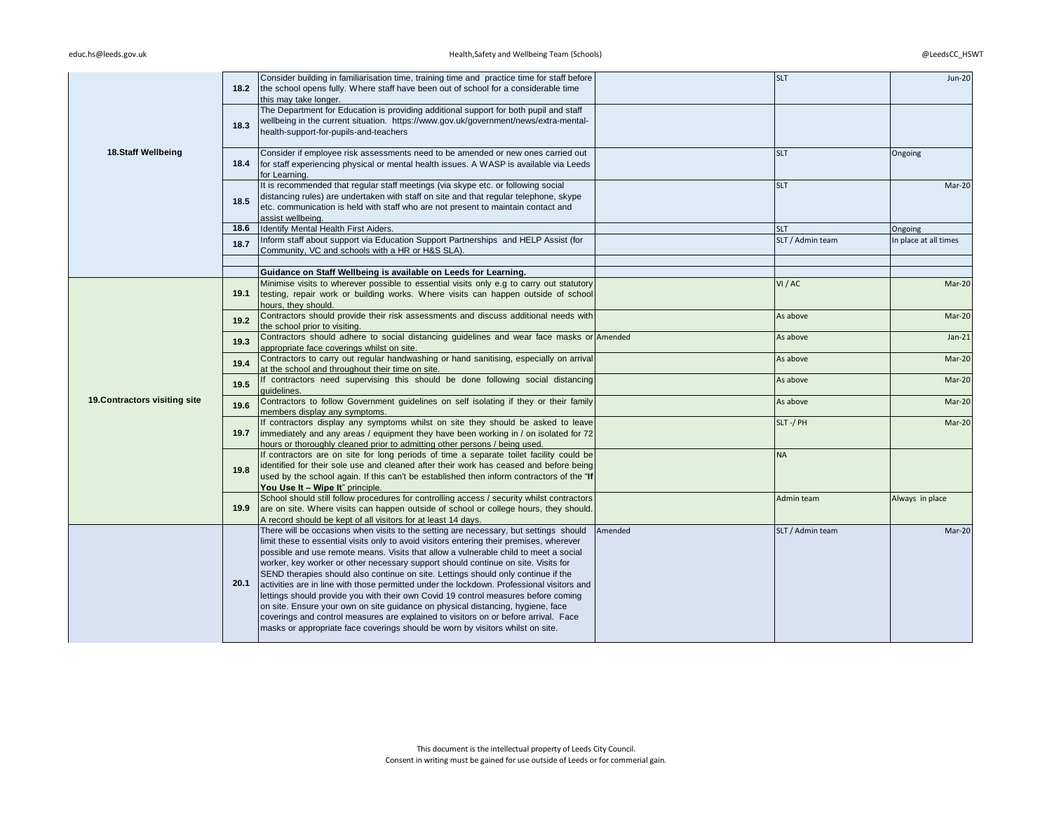|                               | 18.2              | Consider building in familiarisation time, training time and practice time for staff before<br>the school opens fully. Where staff have been out of school for a considerable time<br>this may take longer.                                                                                                                                                                                                                                                                                                                                                                                                                                                                                                                                                                                                                                                                                        |         | <b>SLT</b>       | <b>Jun-20</b>         |
|-------------------------------|-------------------|----------------------------------------------------------------------------------------------------------------------------------------------------------------------------------------------------------------------------------------------------------------------------------------------------------------------------------------------------------------------------------------------------------------------------------------------------------------------------------------------------------------------------------------------------------------------------------------------------------------------------------------------------------------------------------------------------------------------------------------------------------------------------------------------------------------------------------------------------------------------------------------------------|---------|------------------|-----------------------|
|                               | 18.3              | The Department for Education is providing additional support for both pupil and staff<br>wellbeing in the current situation. https://www.gov.uk/government/news/extra-mental-<br>health-support-for-pupils-and-teachers                                                                                                                                                                                                                                                                                                                                                                                                                                                                                                                                                                                                                                                                            |         |                  |                       |
| 18.Staff Wellbeing            | 18.4              | Consider if employee risk assessments need to be amended or new ones carried out<br>for staff experiencing physical or mental health issues. A WASP is available via Leeds<br>for Learning.                                                                                                                                                                                                                                                                                                                                                                                                                                                                                                                                                                                                                                                                                                        |         | <b>SLT</b>       | Ongoing               |
|                               | 18.5              | It is recommended that regular staff meetings (via skype etc. or following social<br>distancing rules) are undertaken with staff on site and that regular telephone, skype<br>etc. communication is held with staff who are not present to maintain contact and<br>assist wellbeing.                                                                                                                                                                                                                                                                                                                                                                                                                                                                                                                                                                                                               |         | <b>SLT</b>       | Mar-20                |
|                               | 18.6              | Identify Mental Health First Aiders.                                                                                                                                                                                                                                                                                                                                                                                                                                                                                                                                                                                                                                                                                                                                                                                                                                                               |         | <b>SLT</b>       | Ongoing               |
|                               | 18.7              | Inform staff about support via Education Support Partnerships and HELP Assist (for<br>Community, VC and schools with a HR or H&S SLA).                                                                                                                                                                                                                                                                                                                                                                                                                                                                                                                                                                                                                                                                                                                                                             |         | SLT / Admin team | In place at all times |
|                               |                   |                                                                                                                                                                                                                                                                                                                                                                                                                                                                                                                                                                                                                                                                                                                                                                                                                                                                                                    |         |                  |                       |
|                               |                   | Guidance on Staff Wellbeing is available on Leeds for Learning.                                                                                                                                                                                                                                                                                                                                                                                                                                                                                                                                                                                                                                                                                                                                                                                                                                    |         |                  |                       |
|                               | 19.1              | Minimise visits to wherever possible to essential visits only e.g to carry out statutory<br>testing, repair work or building works. Where visits can happen outside of school<br>hours, they should.                                                                                                                                                                                                                                                                                                                                                                                                                                                                                                                                                                                                                                                                                               |         | VI/AC            | Mar-20                |
|                               | 19.2              | Contractors should provide their risk assessments and discuss additional needs with<br>the school prior to visiting.                                                                                                                                                                                                                                                                                                                                                                                                                                                                                                                                                                                                                                                                                                                                                                               |         | As above         | Mar-20                |
|                               | 19.3              | Contractors should adhere to social distancing guidelines and wear face masks or Amended<br>appropriate face coverings whilst on site.                                                                                                                                                                                                                                                                                                                                                                                                                                                                                                                                                                                                                                                                                                                                                             |         | As above         | $Jan-21$              |
|                               | 19.4              | Contractors to carry out regular handwashing or hand sanitising, especially on arrival<br>at the school and throughout their time on site.                                                                                                                                                                                                                                                                                                                                                                                                                                                                                                                                                                                                                                                                                                                                                         |         | As above         | Mar-20                |
|                               | 19.5              | If contractors need supervising this should be done following social distancing<br>quidelines.                                                                                                                                                                                                                                                                                                                                                                                                                                                                                                                                                                                                                                                                                                                                                                                                     |         | As above         | Mar-20                |
| 19. Contractors visiting site | 19.6              | Contractors to follow Government guidelines on self isolating if they or their family<br>members display any symptoms.                                                                                                                                                                                                                                                                                                                                                                                                                                                                                                                                                                                                                                                                                                                                                                             |         | As above         | Mar-20                |
|                               | 19.7              | If contractors display any symptoms whilst on site they should be asked to leave<br>immediately and any areas / equipment they have been working in / on isolated for 72<br>hours or thoroughly cleaned prior to admitting other persons / being used.                                                                                                                                                                                                                                                                                                                                                                                                                                                                                                                                                                                                                                             |         | SLT-/PH          | Mar-20                |
|                               | 19.8              | If contractors are on site for long periods of time a separate toilet facility could be<br>identified for their sole use and cleaned after their work has ceased and before being<br>used by the school again. If this can't be established then inform contractors of the "If<br>You Use It - Wipe It" principle.                                                                                                                                                                                                                                                                                                                                                                                                                                                                                                                                                                                 |         | <b>NA</b>        |                       |
|                               | 19.9 <sub>1</sub> | School should still follow procedures for controlling access / security whilst contractors<br>are on site. Where visits can happen outside of school or college hours, they should.<br>A record should be kept of all visitors for at least 14 days.                                                                                                                                                                                                                                                                                                                                                                                                                                                                                                                                                                                                                                               |         | Admin team       | Always in place       |
|                               | 20.1              | There will be occasions when visits to the setting are necessary, but settings should<br>limit these to essential visits only to avoid visitors entering their premises, wherever<br>possible and use remote means. Visits that allow a vulnerable child to meet a social<br>worker, key worker or other necessary support should continue on site. Visits for<br>SEND therapies should also continue on site. Lettings should only continue if the<br>activities are in line with those permitted under the lockdown. Professional visitors and<br>lettings should provide you with their own Covid 19 control measures before coming<br>on site. Ensure your own on site guidance on physical distancing, hygiene, face<br>coverings and control measures are explained to visitors on or before arrival. Face<br>masks or appropriate face coverings should be worn by visitors whilst on site. | Amended | SLT / Admin team | Mar-20                |
|                               |                   |                                                                                                                                                                                                                                                                                                                                                                                                                                                                                                                                                                                                                                                                                                                                                                                                                                                                                                    |         |                  |                       |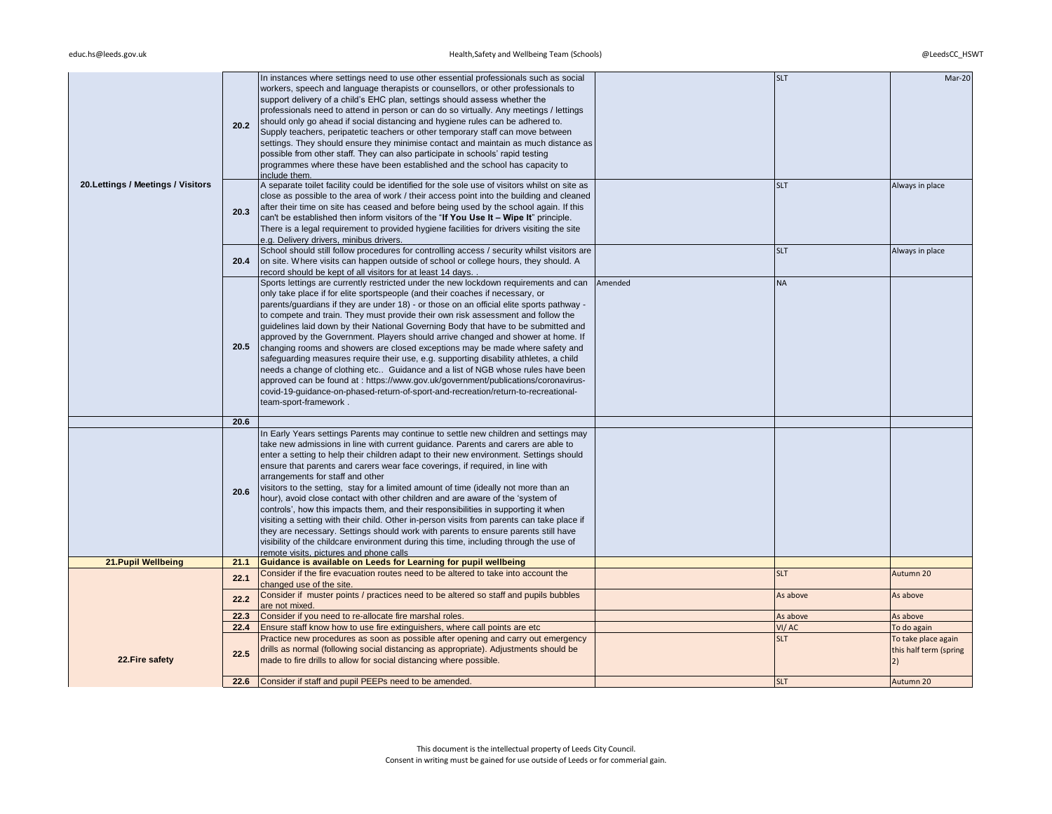| 20. Lettings / Meetings / Visitors | 20.2 | In instances where settings need to use other essential professionals such as social<br>workers, speech and language therapists or counsellors, or other professionals to<br>support delivery of a child's EHC plan, settings should assess whether the<br>professionals need to attend in person or can do so virtually. Any meetings / lettings<br>should only go ahead if social distancing and hygiene rules can be adhered to.<br>Supply teachers, peripatetic teachers or other temporary staff can move between<br>settings. They should ensure they minimise contact and maintain as much distance as<br>possible from other staff. They can also participate in schools' rapid testing<br>programmes where these have been established and the school has capacity to<br>include them.                                                                                                                                                                                                    |         | <b>SLT</b>             | Mar-20                                              |
|------------------------------------|------|----------------------------------------------------------------------------------------------------------------------------------------------------------------------------------------------------------------------------------------------------------------------------------------------------------------------------------------------------------------------------------------------------------------------------------------------------------------------------------------------------------------------------------------------------------------------------------------------------------------------------------------------------------------------------------------------------------------------------------------------------------------------------------------------------------------------------------------------------------------------------------------------------------------------------------------------------------------------------------------------------|---------|------------------------|-----------------------------------------------------|
|                                    | 20.3 | A separate toilet facility could be identified for the sole use of visitors whilst on site as<br>close as possible to the area of work / their access point into the building and cleaned<br>after their time on site has ceased and before being used by the school again. If this<br>can't be established then inform visitors of the "If You Use It - Wipe It" principle.<br>There is a legal requirement to provided hygiene facilities for drivers visiting the site<br>e.g. Delivery drivers, minibus drivers.                                                                                                                                                                                                                                                                                                                                                                                                                                                                               |         | <b>SLT</b>             | Always in place                                     |
|                                    | 20.4 | School should still follow procedures for controlling access / security whilst visitors are<br>on site. Where visits can happen outside of school or college hours, they should. A<br>record should be kept of all visitors for at least 14 days.                                                                                                                                                                                                                                                                                                                                                                                                                                                                                                                                                                                                                                                                                                                                                  |         | <b>SLT</b>             | Always in place                                     |
|                                    | 20.5 | Sports lettings are currently restricted under the new lockdown requirements and can<br>only take place if for elite sportspeople (and their coaches if necessary, or<br>parents/guardians if they are under 18) - or those on an official elite sports pathway -<br>to compete and train. They must provide their own risk assessment and follow the<br>guidelines laid down by their National Governing Body that have to be submitted and<br>approved by the Government. Players should arrive changed and shower at home. If<br>changing rooms and showers are closed exceptions may be made where safety and<br>safeguarding measures require their use, e.g. supporting disability athletes, a child<br>needs a change of clothing etc Guidance and a list of NGB whose rules have been<br>approved can be found at : https://www.gov.uk/government/publications/coronavirus-<br>covid-19-guidance-on-phased-return-of-sport-and-recreation/return-to-recreational-<br>team-sport-framework. | Amended | <b>NA</b>              |                                                     |
|                                    | 20.6 |                                                                                                                                                                                                                                                                                                                                                                                                                                                                                                                                                                                                                                                                                                                                                                                                                                                                                                                                                                                                    |         |                        |                                                     |
|                                    | 20.6 | In Early Years settings Parents may continue to settle new children and settings may<br>take new admissions in line with current guidance. Parents and carers are able to<br>enter a setting to help their children adapt to their new environment. Settings should<br>ensure that parents and carers wear face coverings, if required, in line with<br>arrangements for staff and other<br>visitors to the setting, stay for a limited amount of time (ideally not more than an<br>hour), avoid close contact with other children and are aware of the 'system of<br>controls', how this impacts them, and their responsibilities in supporting it when<br>visiting a setting with their child. Other in-person visits from parents can take place if<br>they are necessary. Settings should work with parents to ensure parents still have<br>visibility of the childcare environment during this time, including through the use of<br>remote visits, pictures and phone calls                  |         |                        |                                                     |
| 21. Pupil Wellbeing                | 21.1 | Guidance is available on Leeds for Learning for pupil wellbeing                                                                                                                                                                                                                                                                                                                                                                                                                                                                                                                                                                                                                                                                                                                                                                                                                                                                                                                                    |         |                        |                                                     |
|                                    | 22.1 | Consider if the fire evacuation routes need to be altered to take into account the<br>changed use of the site.<br>Consider if muster points / practices need to be altered so staff and pupils bubbles                                                                                                                                                                                                                                                                                                                                                                                                                                                                                                                                                                                                                                                                                                                                                                                             |         | <b>SLT</b><br>As above | Autumn 20<br>As above                               |
|                                    | 22.2 | are not mixed.                                                                                                                                                                                                                                                                                                                                                                                                                                                                                                                                                                                                                                                                                                                                                                                                                                                                                                                                                                                     |         |                        |                                                     |
|                                    | 22.3 | Consider if you need to re-allocate fire marshal roles.                                                                                                                                                                                                                                                                                                                                                                                                                                                                                                                                                                                                                                                                                                                                                                                                                                                                                                                                            |         | As above               | As above                                            |
|                                    | 22.4 | Ensure staff know how to use fire extinguishers, where call points are etc.                                                                                                                                                                                                                                                                                                                                                                                                                                                                                                                                                                                                                                                                                                                                                                                                                                                                                                                        |         | VI/AC                  | To do again                                         |
| 22. Fire safety                    | 22.5 | Practice new procedures as soon as possible after opening and carry out emergency<br>drills as normal (following social distancing as appropriate). Adjustments should be<br>made to fire drills to allow for social distancing where possible.                                                                                                                                                                                                                                                                                                                                                                                                                                                                                                                                                                                                                                                                                                                                                    |         | <b>SLT</b>             | To take place again<br>this half term (spring<br>2) |
|                                    |      | 22.6 Consider if staff and pupil PEEPs need to be amended.                                                                                                                                                                                                                                                                                                                                                                                                                                                                                                                                                                                                                                                                                                                                                                                                                                                                                                                                         |         | <b>SLT</b>             | Autumn 20                                           |
|                                    |      |                                                                                                                                                                                                                                                                                                                                                                                                                                                                                                                                                                                                                                                                                                                                                                                                                                                                                                                                                                                                    |         |                        |                                                     |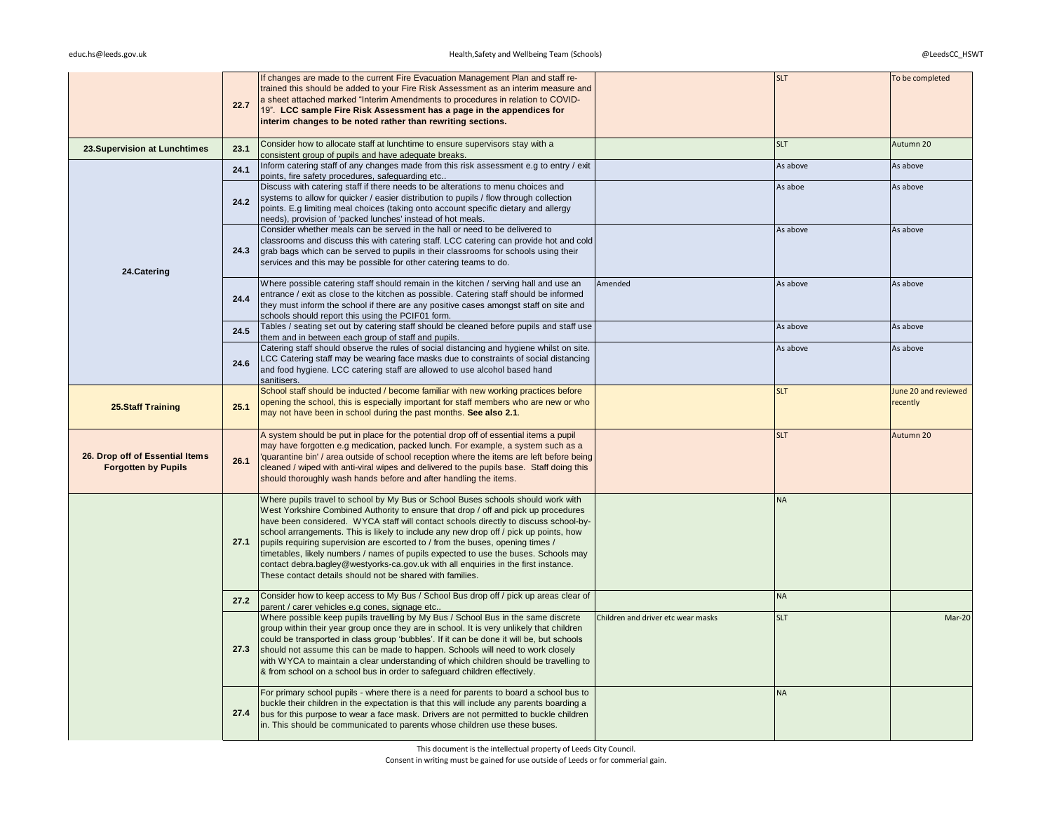|                                                               | 22.7 | If changes are made to the current Fire Evacuation Management Plan and staff re-<br>trained this should be added to your Fire Risk Assessment as an interim measure and<br>a sheet attached marked "Interim Amendments to procedures in relation to COVID-<br>19". LCC sample Fire Risk Assessment has a page in the appendices for<br>interim changes to be noted rather than rewriting sections.                                                                                                                                                                                                                                                                                  |                                    | <b>SLT</b> | To be completed                  |
|---------------------------------------------------------------|------|-------------------------------------------------------------------------------------------------------------------------------------------------------------------------------------------------------------------------------------------------------------------------------------------------------------------------------------------------------------------------------------------------------------------------------------------------------------------------------------------------------------------------------------------------------------------------------------------------------------------------------------------------------------------------------------|------------------------------------|------------|----------------------------------|
| 23. Supervision at Lunchtimes                                 | 23.1 | Consider how to allocate staff at lunchtime to ensure supervisors stay with a<br>consistent group of pupils and have adequate breaks.                                                                                                                                                                                                                                                                                                                                                                                                                                                                                                                                               |                                    | <b>SLT</b> | Autumn 20                        |
|                                                               | 24.1 | Inform catering staff of any changes made from this risk assessment e.g to entry / exit<br>points, fire safety procedures, safequarding etc                                                                                                                                                                                                                                                                                                                                                                                                                                                                                                                                         |                                    | As above   | As above                         |
|                                                               | 24.2 | Discuss with catering staff if there needs to be alterations to menu choices and<br>systems to allow for quicker / easier distribution to pupils / flow through collection<br>points. E.g limiting meal choices (taking onto account specific dietary and allergy<br>needs), provision of 'packed lunches' instead of hot meals.                                                                                                                                                                                                                                                                                                                                                    |                                    | As aboe    | As above                         |
| 24.Catering                                                   | 24.3 | Consider whether meals can be served in the hall or need to be delivered to<br>classrooms and discuss this with catering staff. LCC catering can provide hot and cold<br>grab bags which can be served to pupils in their classrooms for schools using their<br>services and this may be possible for other catering teams to do.                                                                                                                                                                                                                                                                                                                                                   |                                    | As above   | As above                         |
|                                                               | 24.4 | Where possible catering staff should remain in the kitchen / serving hall and use an<br>entrance / exit as close to the kitchen as possible. Catering staff should be informed<br>they must inform the school if there are any positive cases amongst staff on site and<br>schools should report this using the PCIF01 form.                                                                                                                                                                                                                                                                                                                                                        | Amended                            | As above   | As above                         |
|                                                               | 24.5 | Tables / seating set out by catering staff should be cleaned before pupils and staff use<br>them and in between each group of staff and pupils.                                                                                                                                                                                                                                                                                                                                                                                                                                                                                                                                     |                                    | As above   | As above                         |
|                                                               | 24.6 | Catering staff should observe the rules of social distancing and hygiene whilst on site.<br>LCC Catering staff may be wearing face masks due to constraints of social distancing<br>and food hygiene. LCC catering staff are allowed to use alcohol based hand<br>sanitisers.                                                                                                                                                                                                                                                                                                                                                                                                       |                                    | As above   | As above                         |
| <b>25.Staff Training</b>                                      | 25.1 | School staff should be inducted / become familiar with new working practices before<br>opening the school, this is especially important for staff members who are new or who<br>may not have been in school during the past months. See also 2.1.                                                                                                                                                                                                                                                                                                                                                                                                                                   |                                    | <b>SLT</b> | June 20 and reviewed<br>recently |
| 26. Drop off of Essential Items<br><b>Forgotten by Pupils</b> | 26.1 | A system should be put in place for the potential drop off of essential items a pupil<br>may have forgotten e.g medication, packed lunch. For example, a system such as a<br>'quarantine bin' / area outside of school reception where the items are left before being<br>cleaned / wiped with anti-viral wipes and delivered to the pupils base. Staff doing this<br>should thoroughly wash hands before and after handling the items.                                                                                                                                                                                                                                             |                                    | <b>SLT</b> | Autumn 20                        |
|                                                               | 27.1 | Where pupils travel to school by My Bus or School Buses schools should work with<br>West Yorkshire Combined Authority to ensure that drop / off and pick up procedures<br>have been considered. WYCA staff will contact schools directly to discuss school-by-<br>school arrangements. This is likely to include any new drop off / pick up points, how<br>pupils requiring supervision are escorted to / from the buses, opening times /<br>timetables, likely numbers / names of pupils expected to use the buses. Schools may<br>contact debra.bagley@westyorks-ca.gov.uk with all enquiries in the first instance.<br>These contact details should not be shared with families. |                                    | <b>NA</b>  |                                  |
|                                                               | 27.2 | Consider how to keep access to My Bus / School Bus drop off / pick up areas clear of<br>parent / carer vehicles e.g cones, signage etc                                                                                                                                                                                                                                                                                                                                                                                                                                                                                                                                              |                                    | <b>NA</b>  |                                  |
|                                                               | 27.3 | Where possible keep pupils travelling by My Bus / School Bus in the same discrete<br>group within their year group once they are in school. It is very unlikely that children<br>could be transported in class group 'bubbles'. If it can be done it will be, but schools<br>should not assume this can be made to happen. Schools will need to work closely<br>with WYCA to maintain a clear understanding of which children should be travelling to<br>& from school on a school bus in order to safeguard children effectively.                                                                                                                                                  | Children and driver etc wear masks | <b>SLT</b> | Mar-20                           |
|                                                               | 27.4 | For primary school pupils - where there is a need for parents to board a school bus to<br>buckle their children in the expectation is that this will include any parents boarding a<br>bus for this purpose to wear a face mask. Drivers are not permitted to buckle children<br>in. This should be communicated to parents whose children use these buses.                                                                                                                                                                                                                                                                                                                         |                                    | <b>NA</b>  |                                  |

This document is the intellectual property of Leeds City Council.

Consent in writing must be gained for use outside of Leeds or for commerial gain.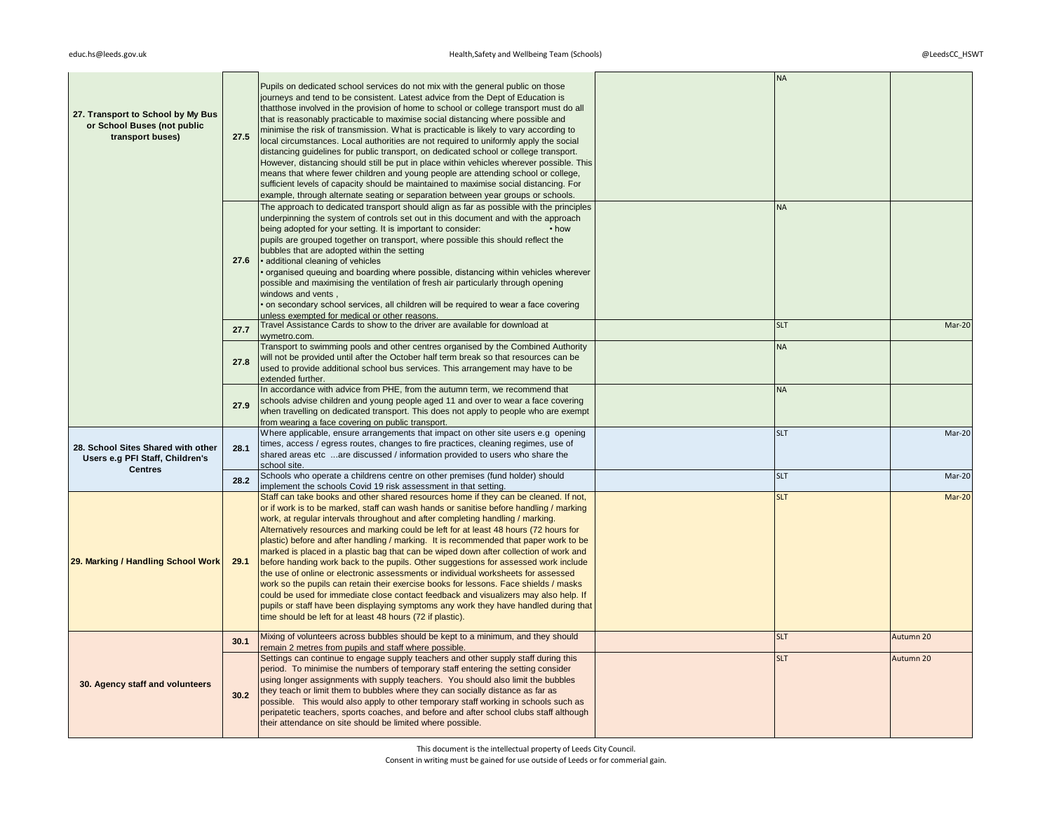|                                                                       |      | Pupils on dedicated school services do not mix with the general public on those<br>journeys and tend to be consistent. Latest advice from the Dept of Education is                                                                                                         | <b>NA</b>  |           |
|-----------------------------------------------------------------------|------|----------------------------------------------------------------------------------------------------------------------------------------------------------------------------------------------------------------------------------------------------------------------------|------------|-----------|
| 27. Transport to School by My Bus<br>or School Buses (not public      |      | thatthose involved in the provision of home to school or college transport must do all<br>that is reasonably practicable to maximise social distancing where possible and<br>minimise the risk of transmission. What is practicable is likely to vary according to         |            |           |
| transport buses)                                                      | 27.5 | local circumstances. Local authorities are not required to uniformly apply the social<br>distancing guidelines for public transport, on dedicated school or college transport.<br>However, distancing should still be put in place within vehicles wherever possible. This |            |           |
|                                                                       |      | means that where fewer children and young people are attending school or college,<br>sufficient levels of capacity should be maintained to maximise social distancing. For                                                                                                 |            |           |
|                                                                       |      | example, through alternate seating or separation between year groups or schools.<br>The approach to dedicated transport should align as far as possible with the principles                                                                                                | <b>NA</b>  |           |
|                                                                       |      | underpinning the system of controls set out in this document and with the approach                                                                                                                                                                                         |            |           |
|                                                                       |      | being adopted for your setting. It is important to consider:<br>• how<br>pupils are grouped together on transport, where possible this should reflect the                                                                                                                  |            |           |
|                                                                       | 27.6 | bubbles that are adopted within the setting<br>• additional cleaning of vehicles                                                                                                                                                                                           |            |           |
|                                                                       |      | organised queuing and boarding where possible, distancing within vehicles wherever                                                                                                                                                                                         |            |           |
|                                                                       |      | possible and maximising the ventilation of fresh air particularly through opening<br>windows and vents,                                                                                                                                                                    |            |           |
|                                                                       |      | • on secondary school services, all children will be required to wear a face covering                                                                                                                                                                                      |            |           |
|                                                                       | 27.7 | unless exempted for medical or other reasons.<br>Travel Assistance Cards to show to the driver are available for download at                                                                                                                                               | <b>SLT</b> | Mar-20    |
|                                                                       |      | wymetro.com.<br>Transport to swimming pools and other centres organised by the Combined Authority                                                                                                                                                                          | <b>NA</b>  |           |
|                                                                       | 27.8 | will not be provided until after the October half term break so that resources can be<br>used to provide additional school bus services. This arrangement may have to be                                                                                                   |            |           |
|                                                                       |      | extended further.                                                                                                                                                                                                                                                          |            |           |
|                                                                       |      | In accordance with advice from PHE, from the autumn term, we recommend that<br>schools advise children and young people aged 11 and over to wear a face covering                                                                                                           | <b>NA</b>  |           |
|                                                                       | 27.9 | when travelling on dedicated transport. This does not apply to people who are exempt<br>from wearing a face covering on public transport.                                                                                                                                  |            |           |
|                                                                       |      | Where applicable, ensure arrangements that impact on other site users e.g. opening                                                                                                                                                                                         | <b>SLT</b> | Mar-20    |
| 28. School Sites Shared with other<br>Users e.g PFI Staff, Children's | 28.1 | times, access / egress routes, changes to fire practices, cleaning regimes, use of<br>shared areas etc are discussed / information provided to users who share the                                                                                                         |            |           |
| <b>Centres</b>                                                        |      | school site.<br>Schools who operate a childrens centre on other premises (fund holder) should                                                                                                                                                                              | <b>SLT</b> | Mar-20    |
|                                                                       | 28.2 | implement the schools Covid 19 risk assessment in that setting.                                                                                                                                                                                                            |            |           |
|                                                                       |      | Staff can take books and other shared resources home if they can be cleaned. If not,<br>or if work is to be marked, staff can wash hands or sanitise before handling / marking                                                                                             | <b>SLT</b> | Mar-20    |
|                                                                       |      | work, at regular intervals throughout and after completing handling / marking.<br>Alternatively resources and marking could be left for at least 48 hours (72 hours for                                                                                                    |            |           |
|                                                                       |      | plastic) before and after handling / marking. It is recommended that paper work to be                                                                                                                                                                                      |            |           |
| 29. Marking / Handling School Work                                    | 29.1 | marked is placed in a plastic bag that can be wiped down after collection of work and<br>before handing work back to the pupils. Other suggestions for assessed work include                                                                                               |            |           |
|                                                                       |      | the use of online or electronic assessments or individual worksheets for assessed<br>work so the pupils can retain their exercise books for lessons. Face shields / masks                                                                                                  |            |           |
|                                                                       |      | could be used for immediate close contact feedback and visualizers may also help. If                                                                                                                                                                                       |            |           |
|                                                                       |      | pupils or staff have been displaying symptoms any work they have handled during that<br>time should be left for at least 48 hours (72 if plastic).                                                                                                                         |            |           |
|                                                                       | 30.1 | Mixing of volunteers across bubbles should be kept to a minimum, and they should<br>remain 2 metres from pupils and staff where possible.                                                                                                                                  | <b>SLT</b> | Autumn 20 |
|                                                                       |      | Settings can continue to engage supply teachers and other supply staff during this<br>period. To minimise the numbers of temporary staff entering the setting consider                                                                                                     | <b>SLT</b> | Autumn 20 |
| 30. Agency staff and volunteers                                       |      | using longer assignments with supply teachers. You should also limit the bubbles                                                                                                                                                                                           |            |           |
|                                                                       | 30.2 | they teach or limit them to bubbles where they can socially distance as far as<br>possible. This would also apply to other temporary staff working in schools such as                                                                                                      |            |           |
|                                                                       |      | peripatetic teachers, sports coaches, and before and after school clubs staff although<br>their attendance on site should be limited where possible.                                                                                                                       |            |           |
|                                                                       |      |                                                                                                                                                                                                                                                                            |            |           |

This document is the intellectual property of Leeds City Council.

Consent in writing must be gained for use outside of Leeds or for commerial gain.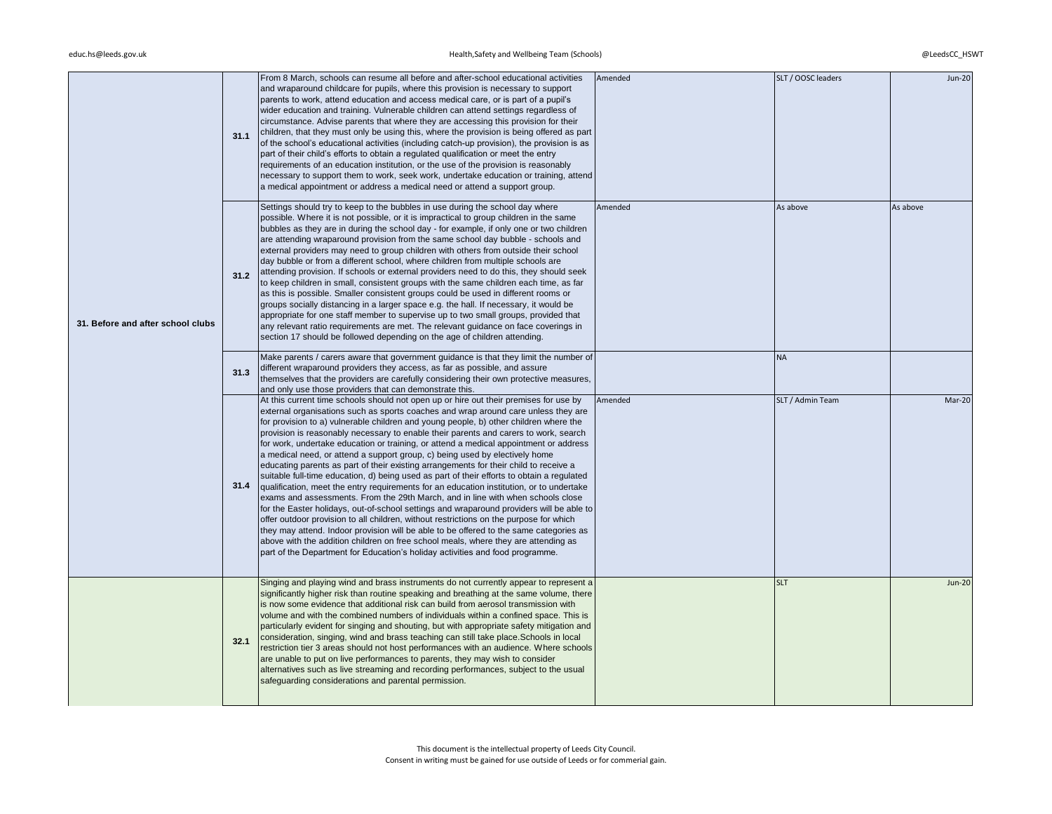| 31. Before and after school clubs | 31.1 | From 8 March, schools can resume all before and after-school educational activities<br>and wraparound childcare for pupils, where this provision is necessary to support<br>parents to work, attend education and access medical care, or is part of a pupil's<br>wider education and training. Vulnerable children can attend settings regardless of<br>circumstance. Advise parents that where they are accessing this provision for their<br>children, that they must only be using this, where the provision is being offered as part<br>of the school's educational activities (including catch-up provision), the provision is as<br>part of their child's efforts to obtain a regulated qualification or meet the entry<br>requirements of an education institution, or the use of the provision is reasonably<br>necessary to support them to work, seek work, undertake education or training, attend<br>a medical appointment or address a medical need or attend a support group.                                                                                                                                                                                                                                                                                                                                                                      | Amended | SLT / OOSC leaders | <b>Jun-20</b> |
|-----------------------------------|------|-------------------------------------------------------------------------------------------------------------------------------------------------------------------------------------------------------------------------------------------------------------------------------------------------------------------------------------------------------------------------------------------------------------------------------------------------------------------------------------------------------------------------------------------------------------------------------------------------------------------------------------------------------------------------------------------------------------------------------------------------------------------------------------------------------------------------------------------------------------------------------------------------------------------------------------------------------------------------------------------------------------------------------------------------------------------------------------------------------------------------------------------------------------------------------------------------------------------------------------------------------------------------------------------------------------------------------------------------------------------|---------|--------------------|---------------|
|                                   | 31.2 | Settings should try to keep to the bubbles in use during the school day where<br>possible. Where it is not possible, or it is impractical to group children in the same<br>bubbles as they are in during the school day - for example, if only one or two children<br>are attending wraparound provision from the same school day bubble - schools and<br>external providers may need to group children with others from outside their school<br>day bubble or from a different school, where children from multiple schools are<br>attending provision. If schools or external providers need to do this, they should seek<br>to keep children in small, consistent groups with the same children each time, as far<br>as this is possible. Smaller consistent groups could be used in different rooms or<br>groups socially distancing in a larger space e.g. the hall. If necessary, it would be<br>appropriate for one staff member to supervise up to two small groups, provided that<br>any relevant ratio requirements are met. The relevant guidance on face coverings in<br>section 17 should be followed depending on the age of children attending.                                                                                                                                                                                                    | Amended | As above           | As above      |
|                                   | 31.3 | Make parents / carers aware that government guidance is that they limit the number of<br>different wraparound providers they access, as far as possible, and assure<br>themselves that the providers are carefully considering their own protective measures,<br>and only use those providers that can demonstrate this.                                                                                                                                                                                                                                                                                                                                                                                                                                                                                                                                                                                                                                                                                                                                                                                                                                                                                                                                                                                                                                          |         | <b>NA</b>          |               |
|                                   | 31.4 | At this current time schools should not open up or hire out their premises for use by<br>external organisations such as sports coaches and wrap around care unless they are<br>for provision to a) vulnerable children and young people, b) other children where the<br>provision is reasonably necessary to enable their parents and carers to work, search<br>for work, undertake education or training, or attend a medical appointment or address<br>a medical need, or attend a support group, c) being used by electively home<br>educating parents as part of their existing arrangements for their child to receive a<br>suitable full-time education, d) being used as part of their efforts to obtain a regulated<br>qualification, meet the entry requirements for an education institution, or to undertake<br>exams and assessments. From the 29th March, and in line with when schools close<br>for the Easter holidays, out-of-school settings and wraparound providers will be able to<br>offer outdoor provision to all children, without restrictions on the purpose for which<br>they may attend. Indoor provision will be able to be offered to the same categories as<br>above with the addition children on free school meals, where they are attending as<br>part of the Department for Education's holiday activities and food programme. | Amended | SLT / Admin Team   | Mar-20        |
|                                   | 32.1 | Singing and playing wind and brass instruments do not currently appear to represent a<br>significantly higher risk than routine speaking and breathing at the same volume, there<br>is now some evidence that additional risk can build from aerosol transmission with<br>volume and with the combined numbers of individuals within a confined space. This is<br>particularly evident for singing and shouting, but with appropriate safety mitigation and<br>consideration, singing, wind and brass teaching can still take place. Schools in local<br>restriction tier 3 areas should not host performances with an audience. Where schools<br>are unable to put on live performances to parents, they may wish to consider<br>alternatives such as live streaming and recording performances, subject to the usual<br>safeguarding considerations and parental permission.                                                                                                                                                                                                                                                                                                                                                                                                                                                                                    |         | <b>SLT</b>         | <b>Jun-20</b> |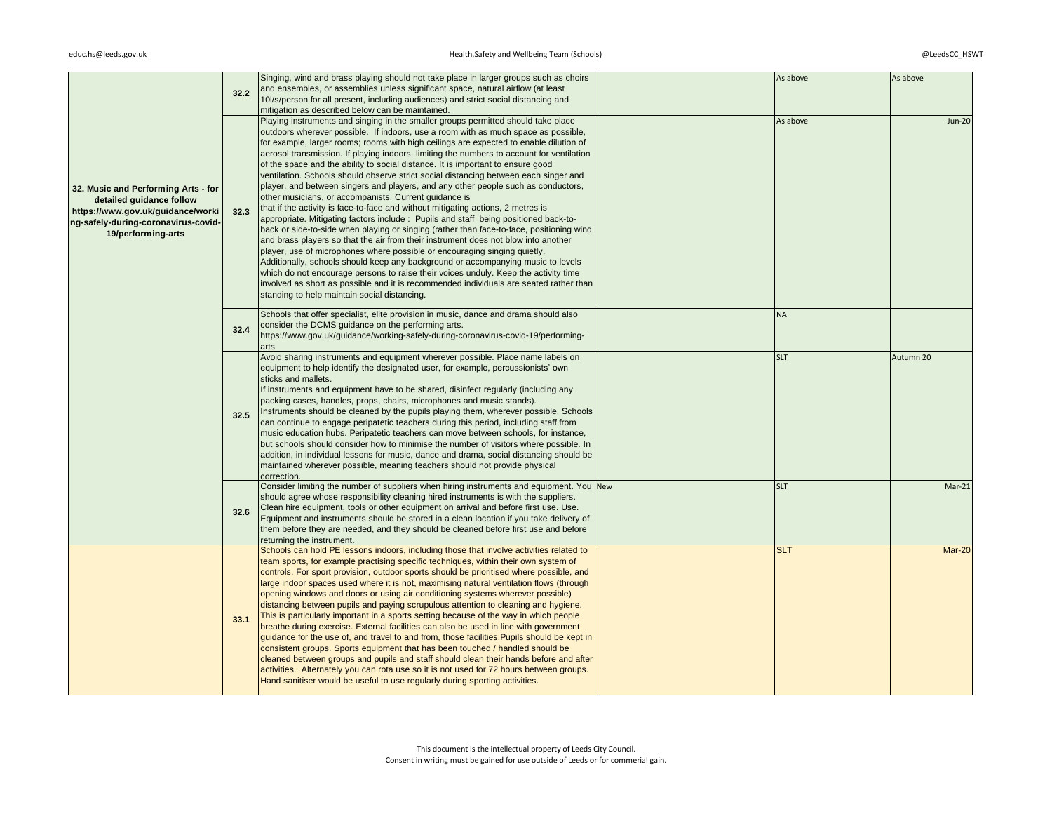|                                                                                                                                                                   | 32.2 | Singing, wind and brass playing should not take place in larger groups such as choirs<br>and ensembles, or assemblies unless significant space, natural airflow (at least<br>10l/s/person for all present, including audiences) and strict social distancing and<br>mitigation as described below can be maintained.                                                                                                                                                                                                                                                                                                                                                                                                                                                                                                                                                                                                                                                                                                                                                                                                                                                                                                                                                                                                                                                                                                                                   | As above   | As above      |
|-------------------------------------------------------------------------------------------------------------------------------------------------------------------|------|--------------------------------------------------------------------------------------------------------------------------------------------------------------------------------------------------------------------------------------------------------------------------------------------------------------------------------------------------------------------------------------------------------------------------------------------------------------------------------------------------------------------------------------------------------------------------------------------------------------------------------------------------------------------------------------------------------------------------------------------------------------------------------------------------------------------------------------------------------------------------------------------------------------------------------------------------------------------------------------------------------------------------------------------------------------------------------------------------------------------------------------------------------------------------------------------------------------------------------------------------------------------------------------------------------------------------------------------------------------------------------------------------------------------------------------------------------|------------|---------------|
| 32. Music and Performing Arts - for<br>detailed guidance follow<br>https://www.gov.uk/guidance/worki<br>ng-safely-during-coronavirus-covid-<br>19/performing-arts | 32.3 | Playing instruments and singing in the smaller groups permitted should take place<br>outdoors wherever possible. If indoors, use a room with as much space as possible,<br>for example, larger rooms; rooms with high ceilings are expected to enable dilution of<br>aerosol transmission. If playing indoors, limiting the numbers to account for ventilation<br>of the space and the ability to social distance. It is important to ensure good<br>ventilation. Schools should observe strict social distancing between each singer and<br>player, and between singers and players, and any other people such as conductors,<br>other musicians, or accompanists. Current guidance is<br>that if the activity is face-to-face and without mitigating actions, 2 metres is<br>appropriate. Mitigating factors include: Pupils and staff being positioned back-to-<br>back or side-to-side when playing or singing (rather than face-to-face, positioning wind<br>and brass players so that the air from their instrument does not blow into another<br>player, use of microphones where possible or encouraging singing quietly.<br>Additionally, schools should keep any background or accompanying music to levels<br>which do not encourage persons to raise their voices unduly. Keep the activity time<br>involved as short as possible and it is recommended individuals are seated rather than<br>standing to help maintain social distancing. | As above   | <b>Jun-20</b> |
|                                                                                                                                                                   | 32.4 | Schools that offer specialist, elite provision in music, dance and drama should also<br>consider the DCMS guidance on the performing arts.<br>https://www.gov.uk/guidance/working-safely-during-coronavirus-covid-19/performing-<br>arts                                                                                                                                                                                                                                                                                                                                                                                                                                                                                                                                                                                                                                                                                                                                                                                                                                                                                                                                                                                                                                                                                                                                                                                                               | <b>NA</b>  |               |
|                                                                                                                                                                   | 32.5 | Avoid sharing instruments and equipment wherever possible. Place name labels on<br>equipment to help identify the designated user, for example, percussionists' own<br>sticks and mallets.<br>If instruments and equipment have to be shared, disinfect regularly (including any<br>packing cases, handles, props, chairs, microphones and music stands).<br>Instruments should be cleaned by the pupils playing them, wherever possible. Schools<br>can continue to engage peripatetic teachers during this period, including staff from<br>music education hubs. Peripatetic teachers can move between schools, for instance,<br>but schools should consider how to minimise the number of visitors where possible. In<br>addition, in individual lessons for music, dance and drama, social distancing should be<br>maintained wherever possible, meaning teachers should not provide physical<br>correction.                                                                                                                                                                                                                                                                                                                                                                                                                                                                                                                                       | <b>SLT</b> | Autumn 20     |
|                                                                                                                                                                   | 32.6 | Consider limiting the number of suppliers when hiring instruments and equipment. You New<br>should agree whose responsibility cleaning hired instruments is with the suppliers.<br>Clean hire equipment, tools or other equipment on arrival and before first use. Use.<br>Equipment and instruments should be stored in a clean location if you take delivery of<br>them before they are needed, and they should be cleaned before first use and before<br>returning the instrument.                                                                                                                                                                                                                                                                                                                                                                                                                                                                                                                                                                                                                                                                                                                                                                                                                                                                                                                                                                  | <b>SLT</b> | $Mar-21$      |
|                                                                                                                                                                   | 33.1 | Schools can hold PE lessons indoors, including those that involve activities related to<br>team sports, for example practising specific techniques, within their own system of<br>controls. For sport provision, outdoor sports should be prioritised where possible, and<br>large indoor spaces used where it is not, maximising natural ventilation flows (through<br>opening windows and doors or using air conditioning systems wherever possible)<br>distancing between pupils and paying scrupulous attention to cleaning and hygiene.<br>This is particularly important in a sports setting because of the way in which people<br>breathe during exercise. External facilities can also be used in line with government<br>guidance for the use of, and travel to and from, those facilities. Pupils should be kept in<br>consistent groups. Sports equipment that has been touched / handled should be<br>cleaned between groups and pupils and staff should clean their hands before and after<br>activities. Alternately you can rota use so it is not used for 72 hours between groups.<br>Hand sanitiser would be useful to use regularly during sporting activities.                                                                                                                                                                                                                                                                      | <b>SLT</b> | Mar-20        |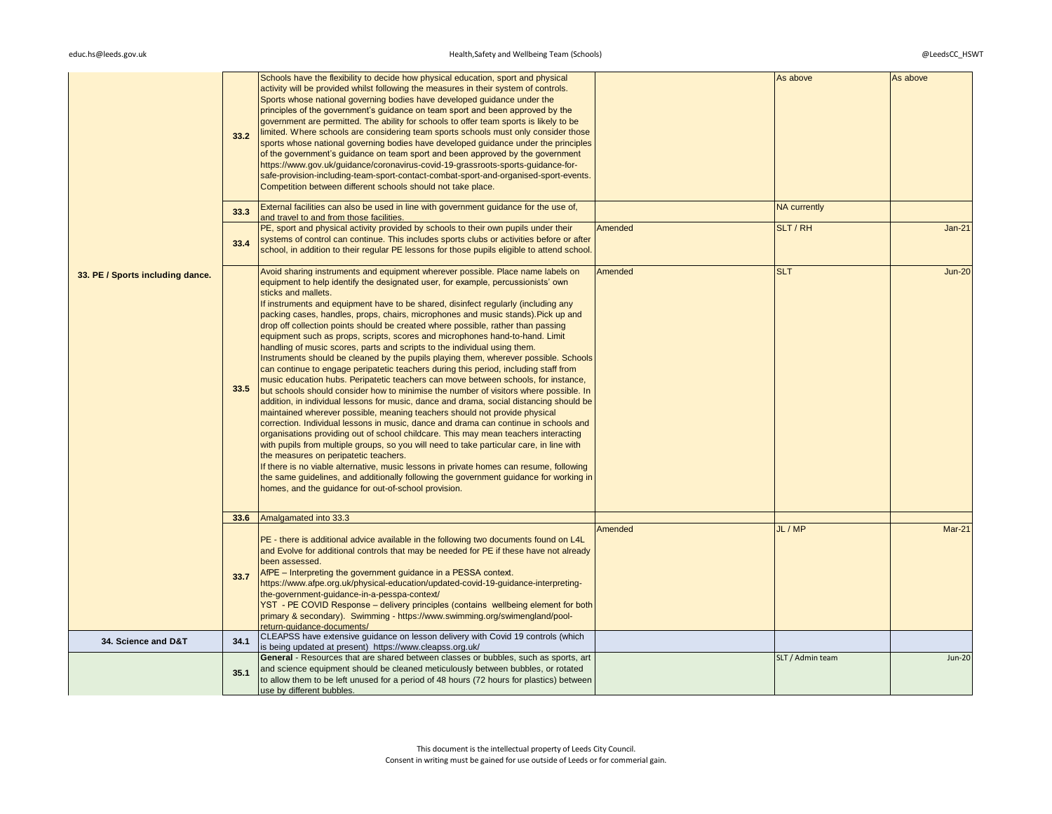|                                  | 33.2 | Schools have the flexibility to decide how physical education, sport and physical<br>activity will be provided whilst following the measures in their system of controls.<br>Sports whose national governing bodies have developed guidance under the<br>principles of the government's guidance on team sport and been approved by the<br>government are permitted. The ability for schools to offer team sports is likely to be<br>limited. Where schools are considering team sports schools must only consider those<br>sports whose national governing bodies have developed guidance under the principles<br>of the government's guidance on team sport and been approved by the government<br>https://www.gov.uk/guidance/coronavirus-covid-19-grassroots-sports-guidance-for-<br>safe-provision-including-team-sport-contact-combat-sport-and-organised-sport-events.<br>Competition between different schools should not take place.                                                                                                                                                                                                                                                                                                                                                                                                                                                                                                                                                                                                                                                                                                                                                                                   |         | As above            | As above      |
|----------------------------------|------|---------------------------------------------------------------------------------------------------------------------------------------------------------------------------------------------------------------------------------------------------------------------------------------------------------------------------------------------------------------------------------------------------------------------------------------------------------------------------------------------------------------------------------------------------------------------------------------------------------------------------------------------------------------------------------------------------------------------------------------------------------------------------------------------------------------------------------------------------------------------------------------------------------------------------------------------------------------------------------------------------------------------------------------------------------------------------------------------------------------------------------------------------------------------------------------------------------------------------------------------------------------------------------------------------------------------------------------------------------------------------------------------------------------------------------------------------------------------------------------------------------------------------------------------------------------------------------------------------------------------------------------------------------------------------------------------------------------------------------|---------|---------------------|---------------|
|                                  | 33.3 | External facilities can also be used in line with government guidance for the use of,<br>and travel to and from those facilities.                                                                                                                                                                                                                                                                                                                                                                                                                                                                                                                                                                                                                                                                                                                                                                                                                                                                                                                                                                                                                                                                                                                                                                                                                                                                                                                                                                                                                                                                                                                                                                                               |         | <b>NA currently</b> |               |
|                                  | 33.4 | PE, sport and physical activity provided by schools to their own pupils under their<br>systems of control can continue. This includes sports clubs or activities before or after<br>school, in addition to their regular PE lessons for those pupils eligible to attend school.                                                                                                                                                                                                                                                                                                                                                                                                                                                                                                                                                                                                                                                                                                                                                                                                                                                                                                                                                                                                                                                                                                                                                                                                                                                                                                                                                                                                                                                 | Amended | SLT / RH            | $Jan-21$      |
| 33. PE / Sports including dance. | 33.5 | Avoid sharing instruments and equipment wherever possible. Place name labels on<br>equipment to help identify the designated user, for example, percussionists' own<br>sticks and mallets.<br>If instruments and equipment have to be shared, disinfect regularly (including any<br>packing cases, handles, props, chairs, microphones and music stands). Pick up and<br>drop off collection points should be created where possible, rather than passing<br>equipment such as props, scripts, scores and microphones hand-to-hand. Limit<br>handling of music scores, parts and scripts to the individual using them.<br>Instruments should be cleaned by the pupils playing them, wherever possible. Schools<br>can continue to engage peripatetic teachers during this period, including staff from<br>music education hubs. Peripatetic teachers can move between schools, for instance,<br>but schools should consider how to minimise the number of visitors where possible. In<br>addition, in individual lessons for music, dance and drama, social distancing should be<br>maintained wherever possible, meaning teachers should not provide physical<br>correction. Individual lessons in music, dance and drama can continue in schools and<br>organisations providing out of school childcare. This may mean teachers interacting<br>with pupils from multiple groups, so you will need to take particular care, in line with<br>the measures on peripatetic teachers.<br>If there is no viable alternative, music lessons in private homes can resume, following<br>the same guidelines, and additionally following the government guidance for working in<br>homes, and the guidance for out-of-school provision. | Amended | <b>SLT</b>          | <b>Jun-20</b> |
|                                  | 33.6 | Amalgamated into 33.3                                                                                                                                                                                                                                                                                                                                                                                                                                                                                                                                                                                                                                                                                                                                                                                                                                                                                                                                                                                                                                                                                                                                                                                                                                                                                                                                                                                                                                                                                                                                                                                                                                                                                                           |         |                     |               |
|                                  | 33.7 | PE - there is additional advice available in the following two documents found on L4L<br>and Evolve for additional controls that may be needed for PE if these have not already<br>been assessed.<br>AfPE - Interpreting the government guidance in a PESSA context.<br>https://www.afpe.org.uk/physical-education/updated-covid-19-quidance-interpreting-<br>the-government-guidance-in-a-pesspa-context/<br>YST - PE COVID Response - delivery principles (contains wellbeing element for both<br>primary & secondary). Swimming - https://www.swimming.org/swimengland/pool-<br>return-guidance-documents/                                                                                                                                                                                                                                                                                                                                                                                                                                                                                                                                                                                                                                                                                                                                                                                                                                                                                                                                                                                                                                                                                                                   | Amended | JL / MP             | <b>Mar-21</b> |
| 34. Science and D&T              | 34.1 | CLEAPSS have extensive guidance on lesson delivery with Covid 19 controls (which<br>is being updated at present) https://www.cleapss.org.uk/                                                                                                                                                                                                                                                                                                                                                                                                                                                                                                                                                                                                                                                                                                                                                                                                                                                                                                                                                                                                                                                                                                                                                                                                                                                                                                                                                                                                                                                                                                                                                                                    |         |                     |               |
|                                  | 35.1 | General - Resources that are shared between classes or bubbles, such as sports, art<br>and science equipment should be cleaned meticulously between bubbles, or rotated<br>to allow them to be left unused for a period of 48 hours (72 hours for plastics) between<br>use by different bubbles.                                                                                                                                                                                                                                                                                                                                                                                                                                                                                                                                                                                                                                                                                                                                                                                                                                                                                                                                                                                                                                                                                                                                                                                                                                                                                                                                                                                                                                |         | SLT / Admin team    | <b>Jun-20</b> |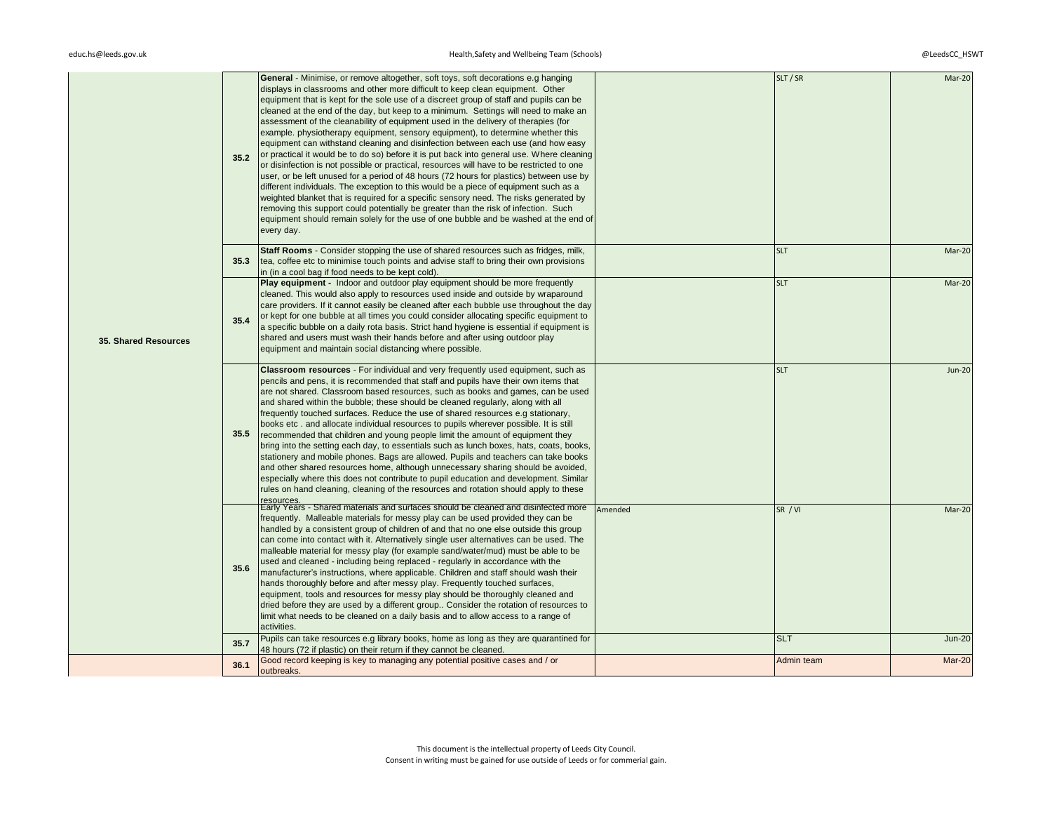| <b>35. Shared Resources</b> | 35.2<br>35.3 | General - Minimise, or remove altogether, soft toys, soft decorations e.g hanging<br>displays in classrooms and other more difficult to keep clean equipment. Other<br>equipment that is kept for the sole use of a discreet group of staff and pupils can be<br>cleaned at the end of the day, but keep to a minimum. Settings will need to make an<br>assessment of the cleanability of equipment used in the delivery of therapies (for<br>example, physiotherapy equipment, sensory equipment), to determine whether this<br>equipment can withstand cleaning and disinfection between each use (and how easy<br>or practical it would be to do so) before it is put back into general use. Where cleaning<br>or disinfection is not possible or practical, resources will have to be restricted to one<br>user, or be left unused for a period of 48 hours (72 hours for plastics) between use by<br>different individuals. The exception to this would be a piece of equipment such as a<br>weighted blanket that is required for a specific sensory need. The risks generated by<br>removing this support could potentially be greater than the risk of infection. Such<br>equipment should remain solely for the use of one bubble and be washed at the end of<br>every day.<br>Staff Rooms - Consider stopping the use of shared resources such as fridges, milk,<br>tea, coffee etc to minimise touch points and advise staff to bring their own provisions |         | SLT / SR<br><b>SLT</b> | Mar-20<br>Mar-20 |
|-----------------------------|--------------|-----------------------------------------------------------------------------------------------------------------------------------------------------------------------------------------------------------------------------------------------------------------------------------------------------------------------------------------------------------------------------------------------------------------------------------------------------------------------------------------------------------------------------------------------------------------------------------------------------------------------------------------------------------------------------------------------------------------------------------------------------------------------------------------------------------------------------------------------------------------------------------------------------------------------------------------------------------------------------------------------------------------------------------------------------------------------------------------------------------------------------------------------------------------------------------------------------------------------------------------------------------------------------------------------------------------------------------------------------------------------------------------------------------------------------------------------------------------------|---------|------------------------|------------------|
|                             | 35.4         | in (in a cool bag if food needs to be kept cold).<br>Play equipment - Indoor and outdoor play equipment should be more frequently<br>cleaned. This would also apply to resources used inside and outside by wraparound<br>care providers. If it cannot easily be cleaned after each bubble use throughout the day<br>or kept for one bubble at all times you could consider allocating specific equipment to<br>a specific bubble on a daily rota basis. Strict hand hygiene is essential if equipment is<br>shared and users must wash their hands before and after using outdoor play<br>equipment and maintain social distancing where possible.                                                                                                                                                                                                                                                                                                                                                                                                                                                                                                                                                                                                                                                                                                                                                                                                                   |         | <b>SLT</b>             | Mar-20           |
|                             | 35.5         | <b>Classroom resources</b> - For individual and very frequently used equipment, such as<br>pencils and pens, it is recommended that staff and pupils have their own items that<br>are not shared. Classroom based resources, such as books and games, can be used<br>and shared within the bubble; these should be cleaned regularly, along with all<br>frequently touched surfaces. Reduce the use of shared resources e.g stationary,<br>books etc. and allocate individual resources to pupils wherever possible. It is still<br>recommended that children and young people limit the amount of equipment they<br>bring into the setting each day, to essentials such as lunch boxes, hats, coats, books,<br>stationery and mobile phones. Bags are allowed. Pupils and teachers can take books<br>and other shared resources home, although unnecessary sharing should be avoided,<br>especially where this does not contribute to pupil education and development. Similar<br>rules on hand cleaning, cleaning of the resources and rotation should apply to these                                                                                                                                                                                                                                                                                                                                                                                               |         | <b>SLT</b>             | <b>Jun-20</b>    |
|                             | 35.6         | Early Years - Shared materials and surfaces should be cleaned and disinfected more<br>frequently. Malleable materials for messy play can be used provided they can be<br>handled by a consistent group of children of and that no one else outside this group<br>can come into contact with it. Alternatively single user alternatives can be used. The<br>malleable material for messy play (for example sand/water/mud) must be able to be<br>used and cleaned - including being replaced - regularly in accordance with the<br>manufacturer's instructions, where applicable. Children and staff should wash their<br>hands thoroughly before and after messy play. Frequently touched surfaces,<br>equipment, tools and resources for messy play should be thoroughly cleaned and<br>dried before they are used by a different group Consider the rotation of resources to<br>limit what needs to be cleaned on a daily basis and to allow access to a range of<br>activities.                                                                                                                                                                                                                                                                                                                                                                                                                                                                                    | Amended | SR / VI                | Mar-20           |
|                             | 35.7         | Pupils can take resources e.g library books, home as long as they are quarantined for<br>48 hours (72 if plastic) on their return if they cannot be cleaned.                                                                                                                                                                                                                                                                                                                                                                                                                                                                                                                                                                                                                                                                                                                                                                                                                                                                                                                                                                                                                                                                                                                                                                                                                                                                                                          |         | <b>SLT</b>             | <b>Jun-20</b>    |
|                             | 36.1         | Good record keeping is key to managing any potential positive cases and / or<br>outbreaks.                                                                                                                                                                                                                                                                                                                                                                                                                                                                                                                                                                                                                                                                                                                                                                                                                                                                                                                                                                                                                                                                                                                                                                                                                                                                                                                                                                            |         | Admin team             | Mar-20           |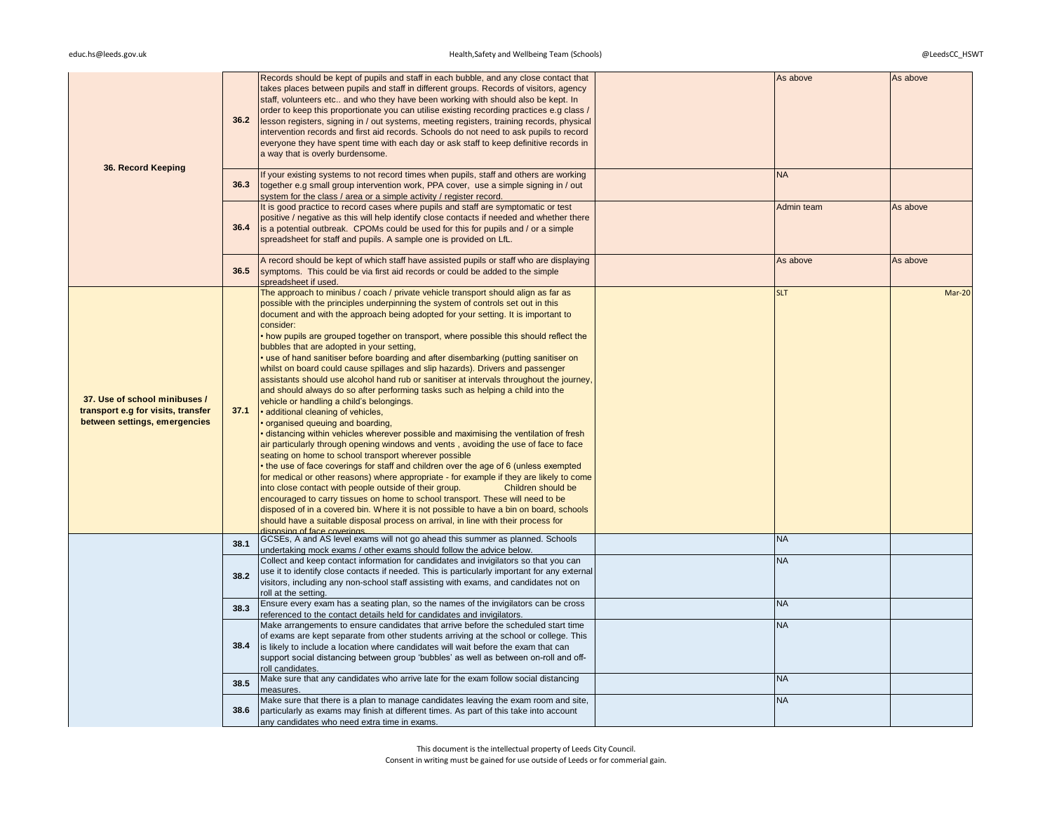| 36. Record Keeping                                                                                   | 36.2 | Records should be kept of pupils and staff in each bubble, and any close contact that<br>takes places between pupils and staff in different groups. Records of visitors, agency<br>staff, volunteers etc and who they have been working with should also be kept. In<br>order to keep this proportionate you can utilise existing recording practices e.g class /<br>lesson registers, signing in / out systems, meeting registers, training records, physical<br>intervention records and first aid records. Schools do not need to ask pupils to record<br>everyone they have spent time with each day or ask staff to keep definitive records in<br>a way that is overly burdensome.                                                                                                                                                                                                                                                                                                                                                                                                                                                                                                                                                                                                                                                                                                                                                                                                                                                                                                                                                                                                                     | As above   | As above |
|------------------------------------------------------------------------------------------------------|------|-------------------------------------------------------------------------------------------------------------------------------------------------------------------------------------------------------------------------------------------------------------------------------------------------------------------------------------------------------------------------------------------------------------------------------------------------------------------------------------------------------------------------------------------------------------------------------------------------------------------------------------------------------------------------------------------------------------------------------------------------------------------------------------------------------------------------------------------------------------------------------------------------------------------------------------------------------------------------------------------------------------------------------------------------------------------------------------------------------------------------------------------------------------------------------------------------------------------------------------------------------------------------------------------------------------------------------------------------------------------------------------------------------------------------------------------------------------------------------------------------------------------------------------------------------------------------------------------------------------------------------------------------------------------------------------------------------------|------------|----------|
|                                                                                                      | 36.3 | If your existing systems to not record times when pupils, staff and others are working<br>together e.g small group intervention work, PPA cover, use a simple signing in / out<br>system for the class / area or a simple activity / register record.                                                                                                                                                                                                                                                                                                                                                                                                                                                                                                                                                                                                                                                                                                                                                                                                                                                                                                                                                                                                                                                                                                                                                                                                                                                                                                                                                                                                                                                       | <b>NA</b>  |          |
|                                                                                                      | 36.4 | It is good practice to record cases where pupils and staff are symptomatic or test<br>positive / negative as this will help identify close contacts if needed and whether there<br>is a potential outbreak. CPOMs could be used for this for pupils and / or a simple<br>spreadsheet for staff and pupils. A sample one is provided on LfL.                                                                                                                                                                                                                                                                                                                                                                                                                                                                                                                                                                                                                                                                                                                                                                                                                                                                                                                                                                                                                                                                                                                                                                                                                                                                                                                                                                 | Admin team | As above |
|                                                                                                      | 36.5 | A record should be kept of which staff have assisted pupils or staff who are displaying<br>symptoms. This could be via first aid records or could be added to the simple<br>spreadsheet if used.                                                                                                                                                                                                                                                                                                                                                                                                                                                                                                                                                                                                                                                                                                                                                                                                                                                                                                                                                                                                                                                                                                                                                                                                                                                                                                                                                                                                                                                                                                            | As above   | As above |
| 37. Use of school minibuses /<br>transport e.g for visits, transfer<br>between settings, emergencies | 37.1 | The approach to minibus / coach / private vehicle transport should align as far as<br>possible with the principles underpinning the system of controls set out in this<br>document and with the approach being adopted for your setting. It is important to<br>consider:<br>• how pupils are grouped together on transport, where possible this should reflect the<br>bubbles that are adopted in your setting,<br>use of hand sanitiser before boarding and after disembarking (putting sanitiser on<br>whilst on board could cause spillages and slip hazards). Drivers and passenger<br>assistants should use alcohol hand rub or sanitiser at intervals throughout the journey,<br>and should always do so after performing tasks such as helping a child into the<br>vehicle or handling a child's belongings.<br>· additional cleaning of vehicles,<br>organised queuing and boarding,<br>distancing within vehicles wherever possible and maximising the ventilation of fresh<br>air particularly through opening windows and vents, avoiding the use of face to face<br>seating on home to school transport wherever possible<br>• the use of face coverings for staff and children over the age of 6 (unless exempted<br>for medical or other reasons) where appropriate - for example if they are likely to come<br>into close contact with people outside of their group.<br>Children should be<br>encouraged to carry tissues on home to school transport. These will need to be<br>disposed of in a covered bin. Where it is not possible to have a bin on board, schools<br>should have a suitable disposal process on arrival, in line with their process for<br>disposing of face coverings | <b>SLT</b> | Mar-20   |
|                                                                                                      | 38.1 | GCSEs, A and AS level exams will not go ahead this summer as planned. Schools<br>undertaking mock exams / other exams should follow the advice below.                                                                                                                                                                                                                                                                                                                                                                                                                                                                                                                                                                                                                                                                                                                                                                                                                                                                                                                                                                                                                                                                                                                                                                                                                                                                                                                                                                                                                                                                                                                                                       | <b>NA</b>  |          |
|                                                                                                      | 38.2 | Collect and keep contact information for candidates and invigilators so that you can<br>use it to identify close contacts if needed. This is particularly important for any external<br>visitors, including any non-school staff assisting with exams, and candidates not on<br>roll at the setting.                                                                                                                                                                                                                                                                                                                                                                                                                                                                                                                                                                                                                                                                                                                                                                                                                                                                                                                                                                                                                                                                                                                                                                                                                                                                                                                                                                                                        | <b>NA</b>  |          |
|                                                                                                      | 38.3 | Ensure every exam has a seating plan, so the names of the invigilators can be cross<br>referenced to the contact details held for candidates and invigilators.                                                                                                                                                                                                                                                                                                                                                                                                                                                                                                                                                                                                                                                                                                                                                                                                                                                                                                                                                                                                                                                                                                                                                                                                                                                                                                                                                                                                                                                                                                                                              | <b>NA</b>  |          |
|                                                                                                      | 38.4 | Make arrangements to ensure candidates that arrive before the scheduled start time<br>of exams are kept separate from other students arriving at the school or college. This<br>is likely to include a location where candidates will wait before the exam that can<br>support social distancing between group 'bubbles' as well as between on-roll and off-<br>roll candidates                                                                                                                                                                                                                                                                                                                                                                                                                                                                                                                                                                                                                                                                                                                                                                                                                                                                                                                                                                                                                                                                                                                                                                                                                                                                                                                             | <b>NA</b>  |          |
|                                                                                                      | 38.5 | Make sure that any candidates who arrive late for the exam follow social distancing<br>measures                                                                                                                                                                                                                                                                                                                                                                                                                                                                                                                                                                                                                                                                                                                                                                                                                                                                                                                                                                                                                                                                                                                                                                                                                                                                                                                                                                                                                                                                                                                                                                                                             | <b>NA</b>  |          |
|                                                                                                      | 38.6 | Make sure that there is a plan to manage candidates leaving the exam room and site,<br>particularly as exams may finish at different times. As part of this take into account<br>any candidates who need extra time in exams.                                                                                                                                                                                                                                                                                                                                                                                                                                                                                                                                                                                                                                                                                                                                                                                                                                                                                                                                                                                                                                                                                                                                                                                                                                                                                                                                                                                                                                                                               | <b>NA</b>  |          |